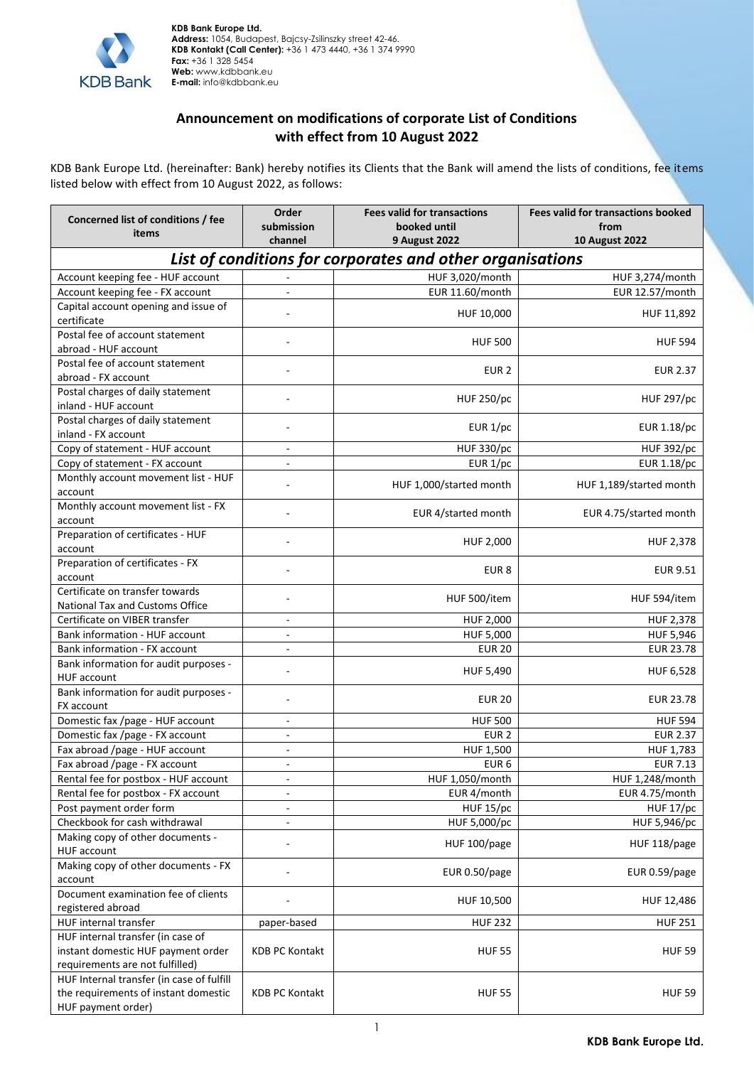

## **Announcement on modifications of corporate List of Conditions with effect from 10 August 2022**

KDB Bank Europe Ltd. (hereinafter: Bank) hereby notifies its Clients that the Bank will amend the lists of conditions, fee items listed below with effect from 10 August 2022, as follows:

| <b>9 August 2022</b><br><b>10 August 2022</b><br>channel<br>List of conditions for corporates and other organisations<br>Account keeping fee - HUF account<br>HUF 3,020/month<br>HUF 3,274/month<br>Account keeping fee - FX account<br>EUR 11.60/month<br>EUR 12.57/month<br>$\overline{\phantom{a}}$<br>Capital account opening and issue of<br>HUF 10,000<br>HUF 11,892<br>certificate<br>Postal fee of account statement<br><b>HUF 500</b><br><b>HUF 594</b><br>abroad - HUF account<br>Postal fee of account statement<br>EUR <sub>2</sub><br><b>EUR 2.37</b><br>abroad - FX account<br>Postal charges of daily statement<br><b>HUF 250/pc</b><br><b>HUF 297/pc</b><br>inland - HUF account<br>Postal charges of daily statement<br>EUR 1/pc<br>EUR 1.18/pc<br>inland - FX account<br>Copy of statement - HUF account<br><b>HUF 330/pc</b><br><b>HUF 392/pc</b><br>$\overline{\phantom{a}}$<br>Copy of statement - FX account<br>EUR 1.18/pc<br>EUR $1/pc$<br>L.<br>Monthly account movement list - HUF<br>HUF 1,000/started month<br>HUF 1,189/started month<br>account<br>Monthly account movement list - FX<br>EUR 4/started month<br>EUR 4.75/started month<br>account<br>Preparation of certificates - HUF<br>HUF 2,000<br>HUF 2,378<br>account<br>Preparation of certificates - FX<br><b>EUR 9.51</b><br>EUR <sub>8</sub><br>account<br>Certificate on transfer towards<br>HUF 594/item<br>HUF 500/item<br>National Tax and Customs Office<br>Certificate on VIBER transfer<br>HUF 2,000<br>HUF 2,378<br>$\overline{\phantom{a}}$<br>Bank information - HUF account<br>HUF 5,000<br>HUF 5,946<br>÷,<br><b>EUR 23.78</b><br>Bank information - FX account<br><b>EUR 20</b><br>ä,<br>Bank information for audit purposes -<br>HUF 5,490<br>HUF 6,528<br><b>HUF account</b><br>Bank information for audit purposes -<br><b>EUR 20</b><br><b>EUR 23.78</b><br>FX account<br>Domestic fax /page - HUF account<br><b>HUF 500</b><br><b>HUF 594</b><br>$\overline{\phantom{a}}$<br>Domestic fax /page - FX account<br>EUR <sub>2</sub><br><b>EUR 2.37</b><br>÷,<br>Fax abroad /page - HUF account<br>HUF 1,500<br>HUF 1,783<br>$\overline{\phantom{a}}$<br>Fax abroad /page - FX account<br><b>EUR 7.13</b><br>EUR <sub>6</sub><br>$\overline{\phantom{a}}$<br>HUF 1,050/month<br>HUF 1,248/month<br>Rental fee for postbox - HUF account<br>Rental fee for postbox - FX account<br>EUR 4.75/month<br>EUR 4/month<br>Post payment order form<br><b>HUF 15/pc</b><br>HUF 17/pc<br>$\blacksquare$<br>Checkbook for cash withdrawal<br>HUF 5,000/pc<br>HUF 5,946/pc<br>$\overline{\phantom{a}}$<br>Making copy of other documents -<br>HUF 100/page<br>HUF 118/page<br>HUF account<br>Making copy of other documents - FX<br>EUR 0.50/page<br>EUR 0.59/page<br>account<br>Document examination fee of clients<br>HUF 10,500<br>HUF 12,486<br>registered abroad<br><b>HUF 232</b><br><b>HUF 251</b><br>HUF internal transfer<br>paper-based<br>HUF internal transfer (in case of<br>instant domestic HUF payment order<br><b>KDB PC Kontakt</b><br><b>HUF 55</b><br><b>HUF 59</b><br>requirements are not fulfilled)<br>HUF Internal transfer (in case of fulfill<br>the requirements of instant domestic<br><b>KDB PC Kontakt</b><br><b>HUF 55</b><br><b>HUF 59</b> | Concerned list of conditions / fee | Order<br>submission | <b>Fees valid for transactions</b><br>booked until | <b>Fees valid for transactions booked</b><br>from |
|----------------------------------------------------------------------------------------------------------------------------------------------------------------------------------------------------------------------------------------------------------------------------------------------------------------------------------------------------------------------------------------------------------------------------------------------------------------------------------------------------------------------------------------------------------------------------------------------------------------------------------------------------------------------------------------------------------------------------------------------------------------------------------------------------------------------------------------------------------------------------------------------------------------------------------------------------------------------------------------------------------------------------------------------------------------------------------------------------------------------------------------------------------------------------------------------------------------------------------------------------------------------------------------------------------------------------------------------------------------------------------------------------------------------------------------------------------------------------------------------------------------------------------------------------------------------------------------------------------------------------------------------------------------------------------------------------------------------------------------------------------------------------------------------------------------------------------------------------------------------------------------------------------------------------------------------------------------------------------------------------------------------------------------------------------------------------------------------------------------------------------------------------------------------------------------------------------------------------------------------------------------------------------------------------------------------------------------------------------------------------------------------------------------------------------------------------------------------------------------------------------------------------------------------------------------------------------------------------------------------------------------------------------------------------------------------------------------------------------------------------------------------------------------------------------------------------------------------------------------------------------------------------------------------------------------------------------------------------------------------------------------------------------------------------------------------------------------------------------------------------------------------------------------------------------------------------------------------------------------------------------------------|------------------------------------|---------------------|----------------------------------------------------|---------------------------------------------------|
|                                                                                                                                                                                                                                                                                                                                                                                                                                                                                                                                                                                                                                                                                                                                                                                                                                                                                                                                                                                                                                                                                                                                                                                                                                                                                                                                                                                                                                                                                                                                                                                                                                                                                                                                                                                                                                                                                                                                                                                                                                                                                                                                                                                                                                                                                                                                                                                                                                                                                                                                                                                                                                                                                                                                                                                                                                                                                                                                                                                                                                                                                                                                                                                                                                                                      | items                              |                     |                                                    |                                                   |
|                                                                                                                                                                                                                                                                                                                                                                                                                                                                                                                                                                                                                                                                                                                                                                                                                                                                                                                                                                                                                                                                                                                                                                                                                                                                                                                                                                                                                                                                                                                                                                                                                                                                                                                                                                                                                                                                                                                                                                                                                                                                                                                                                                                                                                                                                                                                                                                                                                                                                                                                                                                                                                                                                                                                                                                                                                                                                                                                                                                                                                                                                                                                                                                                                                                                      |                                    |                     |                                                    |                                                   |
|                                                                                                                                                                                                                                                                                                                                                                                                                                                                                                                                                                                                                                                                                                                                                                                                                                                                                                                                                                                                                                                                                                                                                                                                                                                                                                                                                                                                                                                                                                                                                                                                                                                                                                                                                                                                                                                                                                                                                                                                                                                                                                                                                                                                                                                                                                                                                                                                                                                                                                                                                                                                                                                                                                                                                                                                                                                                                                                                                                                                                                                                                                                                                                                                                                                                      |                                    |                     |                                                    |                                                   |
|                                                                                                                                                                                                                                                                                                                                                                                                                                                                                                                                                                                                                                                                                                                                                                                                                                                                                                                                                                                                                                                                                                                                                                                                                                                                                                                                                                                                                                                                                                                                                                                                                                                                                                                                                                                                                                                                                                                                                                                                                                                                                                                                                                                                                                                                                                                                                                                                                                                                                                                                                                                                                                                                                                                                                                                                                                                                                                                                                                                                                                                                                                                                                                                                                                                                      |                                    |                     |                                                    |                                                   |
|                                                                                                                                                                                                                                                                                                                                                                                                                                                                                                                                                                                                                                                                                                                                                                                                                                                                                                                                                                                                                                                                                                                                                                                                                                                                                                                                                                                                                                                                                                                                                                                                                                                                                                                                                                                                                                                                                                                                                                                                                                                                                                                                                                                                                                                                                                                                                                                                                                                                                                                                                                                                                                                                                                                                                                                                                                                                                                                                                                                                                                                                                                                                                                                                                                                                      |                                    |                     |                                                    |                                                   |
|                                                                                                                                                                                                                                                                                                                                                                                                                                                                                                                                                                                                                                                                                                                                                                                                                                                                                                                                                                                                                                                                                                                                                                                                                                                                                                                                                                                                                                                                                                                                                                                                                                                                                                                                                                                                                                                                                                                                                                                                                                                                                                                                                                                                                                                                                                                                                                                                                                                                                                                                                                                                                                                                                                                                                                                                                                                                                                                                                                                                                                                                                                                                                                                                                                                                      |                                    |                     |                                                    |                                                   |
|                                                                                                                                                                                                                                                                                                                                                                                                                                                                                                                                                                                                                                                                                                                                                                                                                                                                                                                                                                                                                                                                                                                                                                                                                                                                                                                                                                                                                                                                                                                                                                                                                                                                                                                                                                                                                                                                                                                                                                                                                                                                                                                                                                                                                                                                                                                                                                                                                                                                                                                                                                                                                                                                                                                                                                                                                                                                                                                                                                                                                                                                                                                                                                                                                                                                      |                                    |                     |                                                    |                                                   |
|                                                                                                                                                                                                                                                                                                                                                                                                                                                                                                                                                                                                                                                                                                                                                                                                                                                                                                                                                                                                                                                                                                                                                                                                                                                                                                                                                                                                                                                                                                                                                                                                                                                                                                                                                                                                                                                                                                                                                                                                                                                                                                                                                                                                                                                                                                                                                                                                                                                                                                                                                                                                                                                                                                                                                                                                                                                                                                                                                                                                                                                                                                                                                                                                                                                                      |                                    |                     |                                                    |                                                   |
|                                                                                                                                                                                                                                                                                                                                                                                                                                                                                                                                                                                                                                                                                                                                                                                                                                                                                                                                                                                                                                                                                                                                                                                                                                                                                                                                                                                                                                                                                                                                                                                                                                                                                                                                                                                                                                                                                                                                                                                                                                                                                                                                                                                                                                                                                                                                                                                                                                                                                                                                                                                                                                                                                                                                                                                                                                                                                                                                                                                                                                                                                                                                                                                                                                                                      |                                    |                     |                                                    |                                                   |
|                                                                                                                                                                                                                                                                                                                                                                                                                                                                                                                                                                                                                                                                                                                                                                                                                                                                                                                                                                                                                                                                                                                                                                                                                                                                                                                                                                                                                                                                                                                                                                                                                                                                                                                                                                                                                                                                                                                                                                                                                                                                                                                                                                                                                                                                                                                                                                                                                                                                                                                                                                                                                                                                                                                                                                                                                                                                                                                                                                                                                                                                                                                                                                                                                                                                      |                                    |                     |                                                    |                                                   |
|                                                                                                                                                                                                                                                                                                                                                                                                                                                                                                                                                                                                                                                                                                                                                                                                                                                                                                                                                                                                                                                                                                                                                                                                                                                                                                                                                                                                                                                                                                                                                                                                                                                                                                                                                                                                                                                                                                                                                                                                                                                                                                                                                                                                                                                                                                                                                                                                                                                                                                                                                                                                                                                                                                                                                                                                                                                                                                                                                                                                                                                                                                                                                                                                                                                                      |                                    |                     |                                                    |                                                   |
|                                                                                                                                                                                                                                                                                                                                                                                                                                                                                                                                                                                                                                                                                                                                                                                                                                                                                                                                                                                                                                                                                                                                                                                                                                                                                                                                                                                                                                                                                                                                                                                                                                                                                                                                                                                                                                                                                                                                                                                                                                                                                                                                                                                                                                                                                                                                                                                                                                                                                                                                                                                                                                                                                                                                                                                                                                                                                                                                                                                                                                                                                                                                                                                                                                                                      |                                    |                     |                                                    |                                                   |
|                                                                                                                                                                                                                                                                                                                                                                                                                                                                                                                                                                                                                                                                                                                                                                                                                                                                                                                                                                                                                                                                                                                                                                                                                                                                                                                                                                                                                                                                                                                                                                                                                                                                                                                                                                                                                                                                                                                                                                                                                                                                                                                                                                                                                                                                                                                                                                                                                                                                                                                                                                                                                                                                                                                                                                                                                                                                                                                                                                                                                                                                                                                                                                                                                                                                      |                                    |                     |                                                    |                                                   |
|                                                                                                                                                                                                                                                                                                                                                                                                                                                                                                                                                                                                                                                                                                                                                                                                                                                                                                                                                                                                                                                                                                                                                                                                                                                                                                                                                                                                                                                                                                                                                                                                                                                                                                                                                                                                                                                                                                                                                                                                                                                                                                                                                                                                                                                                                                                                                                                                                                                                                                                                                                                                                                                                                                                                                                                                                                                                                                                                                                                                                                                                                                                                                                                                                                                                      |                                    |                     |                                                    |                                                   |
|                                                                                                                                                                                                                                                                                                                                                                                                                                                                                                                                                                                                                                                                                                                                                                                                                                                                                                                                                                                                                                                                                                                                                                                                                                                                                                                                                                                                                                                                                                                                                                                                                                                                                                                                                                                                                                                                                                                                                                                                                                                                                                                                                                                                                                                                                                                                                                                                                                                                                                                                                                                                                                                                                                                                                                                                                                                                                                                                                                                                                                                                                                                                                                                                                                                                      |                                    |                     |                                                    |                                                   |
|                                                                                                                                                                                                                                                                                                                                                                                                                                                                                                                                                                                                                                                                                                                                                                                                                                                                                                                                                                                                                                                                                                                                                                                                                                                                                                                                                                                                                                                                                                                                                                                                                                                                                                                                                                                                                                                                                                                                                                                                                                                                                                                                                                                                                                                                                                                                                                                                                                                                                                                                                                                                                                                                                                                                                                                                                                                                                                                                                                                                                                                                                                                                                                                                                                                                      |                                    |                     |                                                    |                                                   |
|                                                                                                                                                                                                                                                                                                                                                                                                                                                                                                                                                                                                                                                                                                                                                                                                                                                                                                                                                                                                                                                                                                                                                                                                                                                                                                                                                                                                                                                                                                                                                                                                                                                                                                                                                                                                                                                                                                                                                                                                                                                                                                                                                                                                                                                                                                                                                                                                                                                                                                                                                                                                                                                                                                                                                                                                                                                                                                                                                                                                                                                                                                                                                                                                                                                                      |                                    |                     |                                                    |                                                   |
|                                                                                                                                                                                                                                                                                                                                                                                                                                                                                                                                                                                                                                                                                                                                                                                                                                                                                                                                                                                                                                                                                                                                                                                                                                                                                                                                                                                                                                                                                                                                                                                                                                                                                                                                                                                                                                                                                                                                                                                                                                                                                                                                                                                                                                                                                                                                                                                                                                                                                                                                                                                                                                                                                                                                                                                                                                                                                                                                                                                                                                                                                                                                                                                                                                                                      |                                    |                     |                                                    |                                                   |
|                                                                                                                                                                                                                                                                                                                                                                                                                                                                                                                                                                                                                                                                                                                                                                                                                                                                                                                                                                                                                                                                                                                                                                                                                                                                                                                                                                                                                                                                                                                                                                                                                                                                                                                                                                                                                                                                                                                                                                                                                                                                                                                                                                                                                                                                                                                                                                                                                                                                                                                                                                                                                                                                                                                                                                                                                                                                                                                                                                                                                                                                                                                                                                                                                                                                      |                                    |                     |                                                    |                                                   |
|                                                                                                                                                                                                                                                                                                                                                                                                                                                                                                                                                                                                                                                                                                                                                                                                                                                                                                                                                                                                                                                                                                                                                                                                                                                                                                                                                                                                                                                                                                                                                                                                                                                                                                                                                                                                                                                                                                                                                                                                                                                                                                                                                                                                                                                                                                                                                                                                                                                                                                                                                                                                                                                                                                                                                                                                                                                                                                                                                                                                                                                                                                                                                                                                                                                                      |                                    |                     |                                                    |                                                   |
|                                                                                                                                                                                                                                                                                                                                                                                                                                                                                                                                                                                                                                                                                                                                                                                                                                                                                                                                                                                                                                                                                                                                                                                                                                                                                                                                                                                                                                                                                                                                                                                                                                                                                                                                                                                                                                                                                                                                                                                                                                                                                                                                                                                                                                                                                                                                                                                                                                                                                                                                                                                                                                                                                                                                                                                                                                                                                                                                                                                                                                                                                                                                                                                                                                                                      |                                    |                     |                                                    |                                                   |
|                                                                                                                                                                                                                                                                                                                                                                                                                                                                                                                                                                                                                                                                                                                                                                                                                                                                                                                                                                                                                                                                                                                                                                                                                                                                                                                                                                                                                                                                                                                                                                                                                                                                                                                                                                                                                                                                                                                                                                                                                                                                                                                                                                                                                                                                                                                                                                                                                                                                                                                                                                                                                                                                                                                                                                                                                                                                                                                                                                                                                                                                                                                                                                                                                                                                      |                                    |                     |                                                    |                                                   |
|                                                                                                                                                                                                                                                                                                                                                                                                                                                                                                                                                                                                                                                                                                                                                                                                                                                                                                                                                                                                                                                                                                                                                                                                                                                                                                                                                                                                                                                                                                                                                                                                                                                                                                                                                                                                                                                                                                                                                                                                                                                                                                                                                                                                                                                                                                                                                                                                                                                                                                                                                                                                                                                                                                                                                                                                                                                                                                                                                                                                                                                                                                                                                                                                                                                                      |                                    |                     |                                                    |                                                   |
|                                                                                                                                                                                                                                                                                                                                                                                                                                                                                                                                                                                                                                                                                                                                                                                                                                                                                                                                                                                                                                                                                                                                                                                                                                                                                                                                                                                                                                                                                                                                                                                                                                                                                                                                                                                                                                                                                                                                                                                                                                                                                                                                                                                                                                                                                                                                                                                                                                                                                                                                                                                                                                                                                                                                                                                                                                                                                                                                                                                                                                                                                                                                                                                                                                                                      |                                    |                     |                                                    |                                                   |
|                                                                                                                                                                                                                                                                                                                                                                                                                                                                                                                                                                                                                                                                                                                                                                                                                                                                                                                                                                                                                                                                                                                                                                                                                                                                                                                                                                                                                                                                                                                                                                                                                                                                                                                                                                                                                                                                                                                                                                                                                                                                                                                                                                                                                                                                                                                                                                                                                                                                                                                                                                                                                                                                                                                                                                                                                                                                                                                                                                                                                                                                                                                                                                                                                                                                      |                                    |                     |                                                    |                                                   |
|                                                                                                                                                                                                                                                                                                                                                                                                                                                                                                                                                                                                                                                                                                                                                                                                                                                                                                                                                                                                                                                                                                                                                                                                                                                                                                                                                                                                                                                                                                                                                                                                                                                                                                                                                                                                                                                                                                                                                                                                                                                                                                                                                                                                                                                                                                                                                                                                                                                                                                                                                                                                                                                                                                                                                                                                                                                                                                                                                                                                                                                                                                                                                                                                                                                                      |                                    |                     |                                                    |                                                   |
|                                                                                                                                                                                                                                                                                                                                                                                                                                                                                                                                                                                                                                                                                                                                                                                                                                                                                                                                                                                                                                                                                                                                                                                                                                                                                                                                                                                                                                                                                                                                                                                                                                                                                                                                                                                                                                                                                                                                                                                                                                                                                                                                                                                                                                                                                                                                                                                                                                                                                                                                                                                                                                                                                                                                                                                                                                                                                                                                                                                                                                                                                                                                                                                                                                                                      |                                    |                     |                                                    |                                                   |
|                                                                                                                                                                                                                                                                                                                                                                                                                                                                                                                                                                                                                                                                                                                                                                                                                                                                                                                                                                                                                                                                                                                                                                                                                                                                                                                                                                                                                                                                                                                                                                                                                                                                                                                                                                                                                                                                                                                                                                                                                                                                                                                                                                                                                                                                                                                                                                                                                                                                                                                                                                                                                                                                                                                                                                                                                                                                                                                                                                                                                                                                                                                                                                                                                                                                      |                                    |                     |                                                    |                                                   |
|                                                                                                                                                                                                                                                                                                                                                                                                                                                                                                                                                                                                                                                                                                                                                                                                                                                                                                                                                                                                                                                                                                                                                                                                                                                                                                                                                                                                                                                                                                                                                                                                                                                                                                                                                                                                                                                                                                                                                                                                                                                                                                                                                                                                                                                                                                                                                                                                                                                                                                                                                                                                                                                                                                                                                                                                                                                                                                                                                                                                                                                                                                                                                                                                                                                                      |                                    |                     |                                                    |                                                   |
|                                                                                                                                                                                                                                                                                                                                                                                                                                                                                                                                                                                                                                                                                                                                                                                                                                                                                                                                                                                                                                                                                                                                                                                                                                                                                                                                                                                                                                                                                                                                                                                                                                                                                                                                                                                                                                                                                                                                                                                                                                                                                                                                                                                                                                                                                                                                                                                                                                                                                                                                                                                                                                                                                                                                                                                                                                                                                                                                                                                                                                                                                                                                                                                                                                                                      |                                    |                     |                                                    |                                                   |
|                                                                                                                                                                                                                                                                                                                                                                                                                                                                                                                                                                                                                                                                                                                                                                                                                                                                                                                                                                                                                                                                                                                                                                                                                                                                                                                                                                                                                                                                                                                                                                                                                                                                                                                                                                                                                                                                                                                                                                                                                                                                                                                                                                                                                                                                                                                                                                                                                                                                                                                                                                                                                                                                                                                                                                                                                                                                                                                                                                                                                                                                                                                                                                                                                                                                      |                                    |                     |                                                    |                                                   |
|                                                                                                                                                                                                                                                                                                                                                                                                                                                                                                                                                                                                                                                                                                                                                                                                                                                                                                                                                                                                                                                                                                                                                                                                                                                                                                                                                                                                                                                                                                                                                                                                                                                                                                                                                                                                                                                                                                                                                                                                                                                                                                                                                                                                                                                                                                                                                                                                                                                                                                                                                                                                                                                                                                                                                                                                                                                                                                                                                                                                                                                                                                                                                                                                                                                                      |                                    |                     |                                                    |                                                   |
|                                                                                                                                                                                                                                                                                                                                                                                                                                                                                                                                                                                                                                                                                                                                                                                                                                                                                                                                                                                                                                                                                                                                                                                                                                                                                                                                                                                                                                                                                                                                                                                                                                                                                                                                                                                                                                                                                                                                                                                                                                                                                                                                                                                                                                                                                                                                                                                                                                                                                                                                                                                                                                                                                                                                                                                                                                                                                                                                                                                                                                                                                                                                                                                                                                                                      |                                    |                     |                                                    |                                                   |
|                                                                                                                                                                                                                                                                                                                                                                                                                                                                                                                                                                                                                                                                                                                                                                                                                                                                                                                                                                                                                                                                                                                                                                                                                                                                                                                                                                                                                                                                                                                                                                                                                                                                                                                                                                                                                                                                                                                                                                                                                                                                                                                                                                                                                                                                                                                                                                                                                                                                                                                                                                                                                                                                                                                                                                                                                                                                                                                                                                                                                                                                                                                                                                                                                                                                      |                                    |                     |                                                    |                                                   |
|                                                                                                                                                                                                                                                                                                                                                                                                                                                                                                                                                                                                                                                                                                                                                                                                                                                                                                                                                                                                                                                                                                                                                                                                                                                                                                                                                                                                                                                                                                                                                                                                                                                                                                                                                                                                                                                                                                                                                                                                                                                                                                                                                                                                                                                                                                                                                                                                                                                                                                                                                                                                                                                                                                                                                                                                                                                                                                                                                                                                                                                                                                                                                                                                                                                                      |                                    |                     |                                                    |                                                   |
|                                                                                                                                                                                                                                                                                                                                                                                                                                                                                                                                                                                                                                                                                                                                                                                                                                                                                                                                                                                                                                                                                                                                                                                                                                                                                                                                                                                                                                                                                                                                                                                                                                                                                                                                                                                                                                                                                                                                                                                                                                                                                                                                                                                                                                                                                                                                                                                                                                                                                                                                                                                                                                                                                                                                                                                                                                                                                                                                                                                                                                                                                                                                                                                                                                                                      |                                    |                     |                                                    |                                                   |
|                                                                                                                                                                                                                                                                                                                                                                                                                                                                                                                                                                                                                                                                                                                                                                                                                                                                                                                                                                                                                                                                                                                                                                                                                                                                                                                                                                                                                                                                                                                                                                                                                                                                                                                                                                                                                                                                                                                                                                                                                                                                                                                                                                                                                                                                                                                                                                                                                                                                                                                                                                                                                                                                                                                                                                                                                                                                                                                                                                                                                                                                                                                                                                                                                                                                      |                                    |                     |                                                    |                                                   |
|                                                                                                                                                                                                                                                                                                                                                                                                                                                                                                                                                                                                                                                                                                                                                                                                                                                                                                                                                                                                                                                                                                                                                                                                                                                                                                                                                                                                                                                                                                                                                                                                                                                                                                                                                                                                                                                                                                                                                                                                                                                                                                                                                                                                                                                                                                                                                                                                                                                                                                                                                                                                                                                                                                                                                                                                                                                                                                                                                                                                                                                                                                                                                                                                                                                                      |                                    |                     |                                                    |                                                   |
|                                                                                                                                                                                                                                                                                                                                                                                                                                                                                                                                                                                                                                                                                                                                                                                                                                                                                                                                                                                                                                                                                                                                                                                                                                                                                                                                                                                                                                                                                                                                                                                                                                                                                                                                                                                                                                                                                                                                                                                                                                                                                                                                                                                                                                                                                                                                                                                                                                                                                                                                                                                                                                                                                                                                                                                                                                                                                                                                                                                                                                                                                                                                                                                                                                                                      |                                    |                     |                                                    |                                                   |
|                                                                                                                                                                                                                                                                                                                                                                                                                                                                                                                                                                                                                                                                                                                                                                                                                                                                                                                                                                                                                                                                                                                                                                                                                                                                                                                                                                                                                                                                                                                                                                                                                                                                                                                                                                                                                                                                                                                                                                                                                                                                                                                                                                                                                                                                                                                                                                                                                                                                                                                                                                                                                                                                                                                                                                                                                                                                                                                                                                                                                                                                                                                                                                                                                                                                      |                                    |                     |                                                    |                                                   |
|                                                                                                                                                                                                                                                                                                                                                                                                                                                                                                                                                                                                                                                                                                                                                                                                                                                                                                                                                                                                                                                                                                                                                                                                                                                                                                                                                                                                                                                                                                                                                                                                                                                                                                                                                                                                                                                                                                                                                                                                                                                                                                                                                                                                                                                                                                                                                                                                                                                                                                                                                                                                                                                                                                                                                                                                                                                                                                                                                                                                                                                                                                                                                                                                                                                                      |                                    |                     |                                                    |                                                   |
|                                                                                                                                                                                                                                                                                                                                                                                                                                                                                                                                                                                                                                                                                                                                                                                                                                                                                                                                                                                                                                                                                                                                                                                                                                                                                                                                                                                                                                                                                                                                                                                                                                                                                                                                                                                                                                                                                                                                                                                                                                                                                                                                                                                                                                                                                                                                                                                                                                                                                                                                                                                                                                                                                                                                                                                                                                                                                                                                                                                                                                                                                                                                                                                                                                                                      |                                    |                     |                                                    |                                                   |
|                                                                                                                                                                                                                                                                                                                                                                                                                                                                                                                                                                                                                                                                                                                                                                                                                                                                                                                                                                                                                                                                                                                                                                                                                                                                                                                                                                                                                                                                                                                                                                                                                                                                                                                                                                                                                                                                                                                                                                                                                                                                                                                                                                                                                                                                                                                                                                                                                                                                                                                                                                                                                                                                                                                                                                                                                                                                                                                                                                                                                                                                                                                                                                                                                                                                      |                                    |                     |                                                    |                                                   |
|                                                                                                                                                                                                                                                                                                                                                                                                                                                                                                                                                                                                                                                                                                                                                                                                                                                                                                                                                                                                                                                                                                                                                                                                                                                                                                                                                                                                                                                                                                                                                                                                                                                                                                                                                                                                                                                                                                                                                                                                                                                                                                                                                                                                                                                                                                                                                                                                                                                                                                                                                                                                                                                                                                                                                                                                                                                                                                                                                                                                                                                                                                                                                                                                                                                                      |                                    |                     |                                                    |                                                   |
|                                                                                                                                                                                                                                                                                                                                                                                                                                                                                                                                                                                                                                                                                                                                                                                                                                                                                                                                                                                                                                                                                                                                                                                                                                                                                                                                                                                                                                                                                                                                                                                                                                                                                                                                                                                                                                                                                                                                                                                                                                                                                                                                                                                                                                                                                                                                                                                                                                                                                                                                                                                                                                                                                                                                                                                                                                                                                                                                                                                                                                                                                                                                                                                                                                                                      |                                    |                     |                                                    |                                                   |
|                                                                                                                                                                                                                                                                                                                                                                                                                                                                                                                                                                                                                                                                                                                                                                                                                                                                                                                                                                                                                                                                                                                                                                                                                                                                                                                                                                                                                                                                                                                                                                                                                                                                                                                                                                                                                                                                                                                                                                                                                                                                                                                                                                                                                                                                                                                                                                                                                                                                                                                                                                                                                                                                                                                                                                                                                                                                                                                                                                                                                                                                                                                                                                                                                                                                      |                                    |                     |                                                    |                                                   |
|                                                                                                                                                                                                                                                                                                                                                                                                                                                                                                                                                                                                                                                                                                                                                                                                                                                                                                                                                                                                                                                                                                                                                                                                                                                                                                                                                                                                                                                                                                                                                                                                                                                                                                                                                                                                                                                                                                                                                                                                                                                                                                                                                                                                                                                                                                                                                                                                                                                                                                                                                                                                                                                                                                                                                                                                                                                                                                                                                                                                                                                                                                                                                                                                                                                                      |                                    |                     |                                                    |                                                   |
|                                                                                                                                                                                                                                                                                                                                                                                                                                                                                                                                                                                                                                                                                                                                                                                                                                                                                                                                                                                                                                                                                                                                                                                                                                                                                                                                                                                                                                                                                                                                                                                                                                                                                                                                                                                                                                                                                                                                                                                                                                                                                                                                                                                                                                                                                                                                                                                                                                                                                                                                                                                                                                                                                                                                                                                                                                                                                                                                                                                                                                                                                                                                                                                                                                                                      |                                    |                     |                                                    |                                                   |
|                                                                                                                                                                                                                                                                                                                                                                                                                                                                                                                                                                                                                                                                                                                                                                                                                                                                                                                                                                                                                                                                                                                                                                                                                                                                                                                                                                                                                                                                                                                                                                                                                                                                                                                                                                                                                                                                                                                                                                                                                                                                                                                                                                                                                                                                                                                                                                                                                                                                                                                                                                                                                                                                                                                                                                                                                                                                                                                                                                                                                                                                                                                                                                                                                                                                      |                                    |                     |                                                    |                                                   |
|                                                                                                                                                                                                                                                                                                                                                                                                                                                                                                                                                                                                                                                                                                                                                                                                                                                                                                                                                                                                                                                                                                                                                                                                                                                                                                                                                                                                                                                                                                                                                                                                                                                                                                                                                                                                                                                                                                                                                                                                                                                                                                                                                                                                                                                                                                                                                                                                                                                                                                                                                                                                                                                                                                                                                                                                                                                                                                                                                                                                                                                                                                                                                                                                                                                                      |                                    |                     |                                                    |                                                   |
|                                                                                                                                                                                                                                                                                                                                                                                                                                                                                                                                                                                                                                                                                                                                                                                                                                                                                                                                                                                                                                                                                                                                                                                                                                                                                                                                                                                                                                                                                                                                                                                                                                                                                                                                                                                                                                                                                                                                                                                                                                                                                                                                                                                                                                                                                                                                                                                                                                                                                                                                                                                                                                                                                                                                                                                                                                                                                                                                                                                                                                                                                                                                                                                                                                                                      |                                    |                     |                                                    |                                                   |
|                                                                                                                                                                                                                                                                                                                                                                                                                                                                                                                                                                                                                                                                                                                                                                                                                                                                                                                                                                                                                                                                                                                                                                                                                                                                                                                                                                                                                                                                                                                                                                                                                                                                                                                                                                                                                                                                                                                                                                                                                                                                                                                                                                                                                                                                                                                                                                                                                                                                                                                                                                                                                                                                                                                                                                                                                                                                                                                                                                                                                                                                                                                                                                                                                                                                      |                                    |                     |                                                    |                                                   |
|                                                                                                                                                                                                                                                                                                                                                                                                                                                                                                                                                                                                                                                                                                                                                                                                                                                                                                                                                                                                                                                                                                                                                                                                                                                                                                                                                                                                                                                                                                                                                                                                                                                                                                                                                                                                                                                                                                                                                                                                                                                                                                                                                                                                                                                                                                                                                                                                                                                                                                                                                                                                                                                                                                                                                                                                                                                                                                                                                                                                                                                                                                                                                                                                                                                                      | HUF payment order)                 |                     |                                                    |                                                   |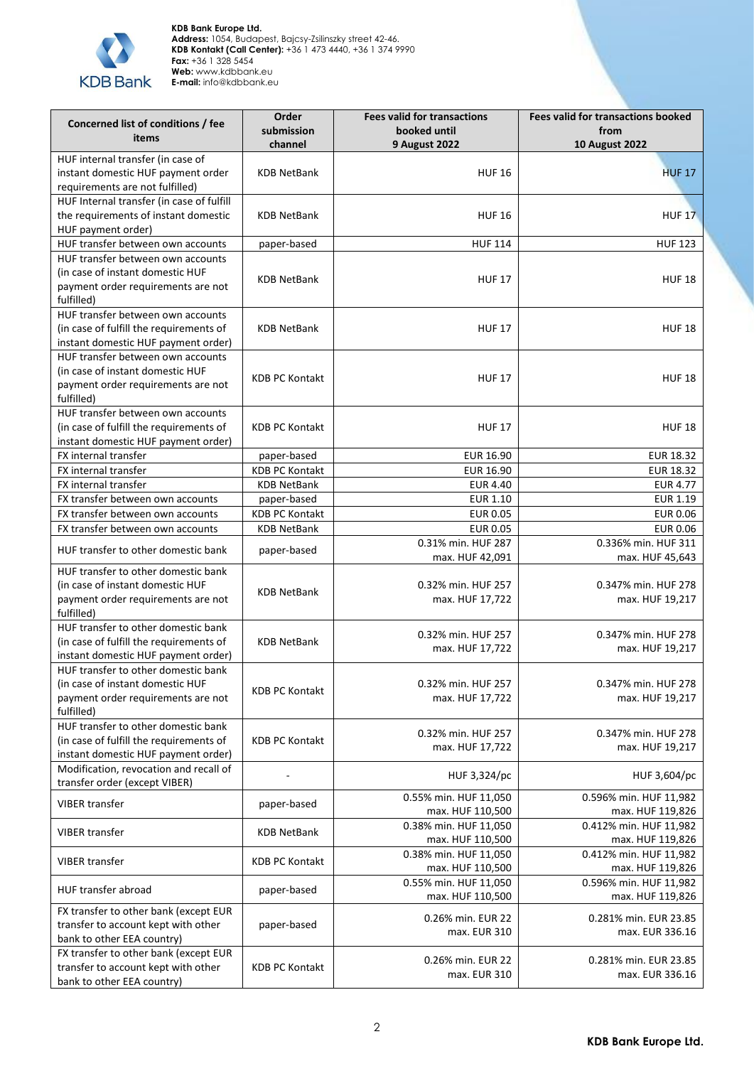

| Concerned list of conditions / fee                                             | Order<br>submission   | <b>Fees valid for transactions</b><br>booked until | <b>Fees valid for transactions booked</b><br>from |
|--------------------------------------------------------------------------------|-----------------------|----------------------------------------------------|---------------------------------------------------|
| items                                                                          | channel               | <b>9 August 2022</b>                               | <b>10 August 2022</b>                             |
| HUF internal transfer (in case of                                              |                       |                                                    |                                                   |
| instant domestic HUF payment order<br>requirements are not fulfilled)          | <b>KDB NetBank</b>    | <b>HUF 16</b>                                      | <b>HUF 17</b>                                     |
| HUF Internal transfer (in case of fulfill                                      |                       |                                                    |                                                   |
| the requirements of instant domestic                                           | <b>KDB NetBank</b>    | <b>HUF 16</b>                                      | <b>HUF 17</b>                                     |
| HUF payment order)                                                             |                       |                                                    |                                                   |
| HUF transfer between own accounts                                              | paper-based           | <b>HUF 114</b>                                     | <b>HUF 123</b>                                    |
| HUF transfer between own accounts<br>(in case of instant domestic HUF          | <b>KDB NetBank</b>    | <b>HUF 17</b>                                      | <b>HUF 18</b>                                     |
| payment order requirements are not<br>fulfilled)                               |                       |                                                    |                                                   |
| HUF transfer between own accounts<br>(in case of fulfill the requirements of   | <b>KDB NetBank</b>    | <b>HUF 17</b>                                      | <b>HUF 18</b>                                     |
| instant domestic HUF payment order)                                            |                       |                                                    |                                                   |
| HUF transfer between own accounts                                              |                       |                                                    |                                                   |
| (in case of instant domestic HUF<br>payment order requirements are not         | <b>KDB PC Kontakt</b> | <b>HUF 17</b>                                      | <b>HUF 18</b>                                     |
| fulfilled)<br>HUF transfer between own accounts                                |                       |                                                    |                                                   |
| (in case of fulfill the requirements of                                        | <b>KDB PC Kontakt</b> | <b>HUF 17</b>                                      | <b>HUF 18</b>                                     |
| instant domestic HUF payment order)<br>FX internal transfer                    | paper-based           | EUR 16.90                                          | <b>EUR 18.32</b>                                  |
| FX internal transfer                                                           | <b>KDB PC Kontakt</b> | EUR 16.90                                          | <b>EUR 18.32</b>                                  |
| FX internal transfer                                                           | <b>KDB NetBank</b>    | <b>EUR 4.40</b>                                    | <b>EUR 4.77</b>                                   |
| FX transfer between own accounts                                               | paper-based           | <b>EUR 1.10</b>                                    | <b>EUR 1.19</b>                                   |
| FX transfer between own accounts                                               | <b>KDB PC Kontakt</b> | <b>EUR 0.05</b>                                    | <b>EUR 0.06</b>                                   |
| FX transfer between own accounts                                               | <b>KDB NetBank</b>    | <b>EUR 0.05</b>                                    | <b>EUR 0.06</b>                                   |
| HUF transfer to other domestic bank                                            | paper-based           | 0.31% min. HUF 287<br>max. HUF 42,091              | 0.336% min. HUF 311<br>max. HUF 45,643            |
| HUF transfer to other domestic bank                                            |                       |                                                    |                                                   |
| (in case of instant domestic HUF                                               | <b>KDB NetBank</b>    | 0.32% min. HUF 257                                 | 0.347% min. HUF 278                               |
| payment order requirements are not<br>fulfilled)                               |                       | max. HUF 17,722                                    | max. HUF 19,217                                   |
| HUF transfer to other domestic bank                                            |                       | 0.32% min. HUF 257                                 | 0.347% min. HUF 278                               |
| (in case of fulfill the requirements of<br>instant domestic HUF payment order) | <b>KDB NetBank</b>    | max. HUF 17,722                                    | max. HUF 19,217                                   |
| HUF transfer to other domestic bank                                            |                       |                                                    |                                                   |
| (in case of instant domestic HUF                                               | <b>KDB PC Kontakt</b> | 0.32% min. HUF 257                                 | 0.347% min. HUF 278                               |
| payment order requirements are not<br>fulfilled)                               |                       | max. HUF 17,722                                    | max. HUF 19,217                                   |
| HUF transfer to other domestic bank                                            |                       |                                                    |                                                   |
| (in case of fulfill the requirements of                                        | <b>KDB PC Kontakt</b> | 0.32% min. HUF 257                                 | 0.347% min. HUF 278                               |
| instant domestic HUF payment order)                                            |                       | max. HUF 17,722                                    | max. HUF 19,217                                   |
| Modification, revocation and recall of<br>transfer order (except VIBER)        |                       | HUF 3,324/pc                                       | HUF 3,604/pc                                      |
| <b>VIBER transfer</b>                                                          | paper-based           | 0.55% min. HUF 11,050<br>max. HUF 110,500          | 0.596% min. HUF 11,982<br>max. HUF 119,826        |
|                                                                                | <b>KDB NetBank</b>    | 0.38% min. HUF 11,050                              | 0.412% min. HUF 11,982                            |
| <b>VIBER transfer</b>                                                          |                       | max. HUF 110,500                                   | max. HUF 119,826                                  |
| <b>VIBER transfer</b>                                                          | <b>KDB PC Kontakt</b> | 0.38% min. HUF 11,050<br>max. HUF 110,500          | 0.412% min. HUF 11,982<br>max. HUF 119,826        |
| HUF transfer abroad                                                            | paper-based           | 0.55% min. HUF 11,050<br>max. HUF 110,500          | 0.596% min. HUF 11,982<br>max. HUF 119,826        |
| FX transfer to other bank (except EUR                                          |                       |                                                    |                                                   |
| transfer to account kept with other                                            | paper-based           | 0.26% min. EUR 22<br>max. EUR 310                  | 0.281% min. EUR 23.85<br>max. EUR 336.16          |
| bank to other EEA country)                                                     |                       |                                                    |                                                   |
| FX transfer to other bank (except EUR                                          |                       | 0.26% min. EUR 22                                  | 0.281% min. EUR 23.85                             |
| transfer to account kept with other<br>bank to other EEA country)              | <b>KDB PC Kontakt</b> | max. EUR 310                                       | max. EUR 336.16                                   |
|                                                                                |                       |                                                    |                                                   |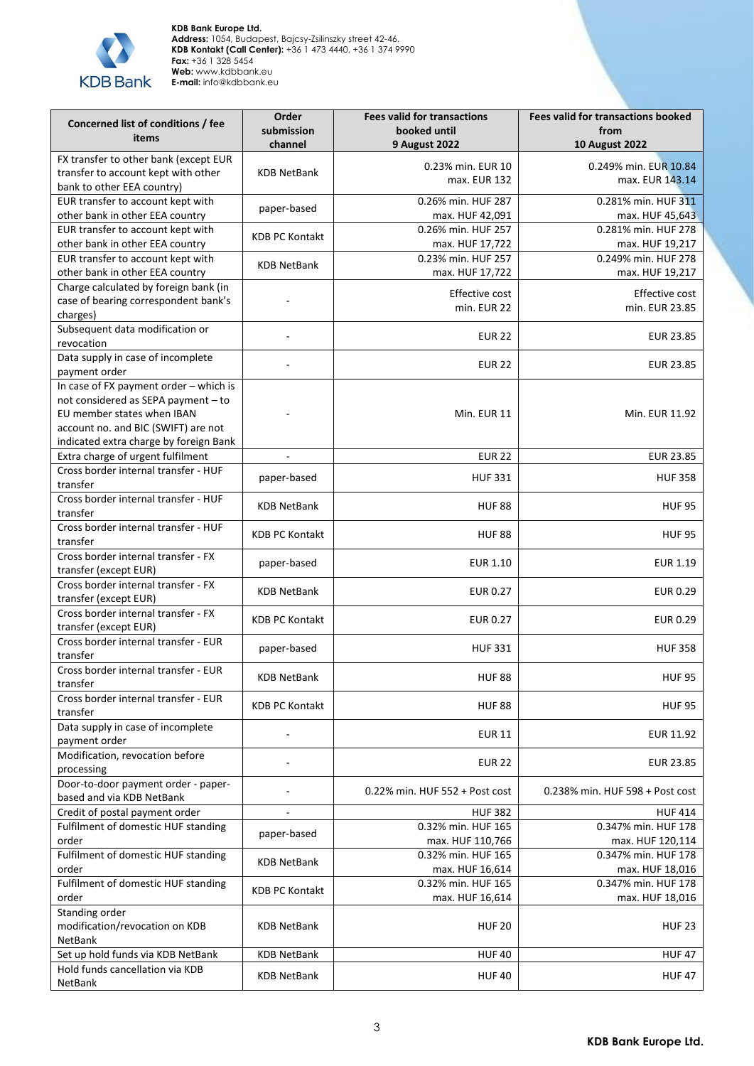

| Concerned list of conditions / fee<br>items                                                                                                                                                  | Order<br>submission<br>channel | <b>Fees valid for transactions</b><br>booked until<br><b>9 August 2022</b> | <b>Fees valid for transactions booked</b><br>from<br><b>10 August 2022</b> |
|----------------------------------------------------------------------------------------------------------------------------------------------------------------------------------------------|--------------------------------|----------------------------------------------------------------------------|----------------------------------------------------------------------------|
| FX transfer to other bank (except EUR                                                                                                                                                        |                                |                                                                            |                                                                            |
| transfer to account kept with other<br>bank to other EEA country)                                                                                                                            | <b>KDB NetBank</b>             | 0.23% min. EUR 10<br>max. EUR 132                                          | 0.249% min. EUR 10.84<br>max. EUR 143.14                                   |
| EUR transfer to account kept with<br>other bank in other EEA country                                                                                                                         | paper-based                    | 0.26% min. HUF 287<br>max. HUF 42,091                                      | 0.281% min. HUF 311<br>max. HUF 45,643                                     |
| EUR transfer to account kept with<br>other bank in other EEA country                                                                                                                         | <b>KDB PC Kontakt</b>          | 0.26% min. HUF 257<br>max. HUF 17,722                                      | 0.281% min. HUF 278<br>max. HUF 19,217                                     |
| EUR transfer to account kept with<br>other bank in other EEA country                                                                                                                         | <b>KDB NetBank</b>             | 0.23% min. HUF 257<br>max. HUF 17,722                                      | 0.249% min. HUF 278<br>max. HUF 19,217                                     |
| Charge calculated by foreign bank (in<br>case of bearing correspondent bank's<br>charges)                                                                                                    |                                | Effective cost<br>min. EUR 22                                              | Effective cost<br>min. EUR 23.85                                           |
| Subsequent data modification or<br>revocation                                                                                                                                                | ÷,                             | <b>EUR 22</b>                                                              | <b>EUR 23.85</b>                                                           |
| Data supply in case of incomplete<br>payment order                                                                                                                                           |                                | <b>EUR 22</b>                                                              | <b>EUR 23.85</b>                                                           |
| In case of FX payment order - which is<br>not considered as SEPA payment - to<br>EU member states when IBAN<br>account no. and BIC (SWIFT) are not<br>indicated extra charge by foreign Bank |                                | Min. EUR 11                                                                | Min. EUR 11.92                                                             |
| Extra charge of urgent fulfilment                                                                                                                                                            | $\blacksquare$                 | <b>EUR 22</b>                                                              | <b>EUR 23.85</b>                                                           |
| Cross border internal transfer - HUF<br>transfer                                                                                                                                             | paper-based                    | <b>HUF 331</b>                                                             | <b>HUF 358</b>                                                             |
| Cross border internal transfer - HUF<br>transfer                                                                                                                                             | <b>KDB NetBank</b>             | <b>HUF 88</b>                                                              | <b>HUF 95</b>                                                              |
| Cross border internal transfer - HUF<br>transfer                                                                                                                                             | <b>KDB PC Kontakt</b>          | <b>HUF 88</b>                                                              | <b>HUF 95</b>                                                              |
| Cross border internal transfer - FX<br>transfer (except EUR)                                                                                                                                 | paper-based                    | <b>EUR 1.10</b>                                                            | <b>EUR 1.19</b>                                                            |
| Cross border internal transfer - FX<br>transfer (except EUR)                                                                                                                                 | <b>KDB NetBank</b>             | <b>EUR 0.27</b>                                                            | <b>EUR 0.29</b>                                                            |
| Cross border internal transfer - FX<br>transfer (except EUR)                                                                                                                                 | <b>KDB PC Kontakt</b>          | <b>EUR 0.27</b>                                                            | <b>EUR 0.29</b>                                                            |
| Cross border internal transfer - EUR<br>transfer                                                                                                                                             | paper-based                    | <b>HUF 331</b>                                                             | <b>HUF 358</b>                                                             |
| Cross border internal transfer - EUR<br>transfer                                                                                                                                             | <b>KDB NetBank</b>             | <b>HUF 88</b>                                                              | <b>HUF 95</b>                                                              |
| Cross border internal transfer - EUR<br>transfer                                                                                                                                             | <b>KDB PC Kontakt</b>          | <b>HUF 88</b>                                                              | <b>HUF 95</b>                                                              |
| Data supply in case of incomplete<br>payment order                                                                                                                                           |                                | <b>EUR 11</b>                                                              | EUR 11.92                                                                  |
| Modification, revocation before<br>processing                                                                                                                                                |                                | <b>EUR 22</b>                                                              | <b>EUR 23.85</b>                                                           |
| Door-to-door payment order - paper-<br>based and via KDB NetBank                                                                                                                             |                                | 0.22% min. HUF 552 + Post cost                                             | 0.238% min. HUF 598 + Post cost                                            |
| Credit of postal payment order                                                                                                                                                               |                                | <b>HUF 382</b>                                                             | <b>HUF 414</b>                                                             |
| Fulfilment of domestic HUF standing                                                                                                                                                          | paper-based                    | 0.32% min. HUF 165                                                         | 0.347% min. HUF 178                                                        |
| order                                                                                                                                                                                        |                                | max. HUF 110,766                                                           | max. HUF 120,114                                                           |
| Fulfilment of domestic HUF standing<br>order                                                                                                                                                 | <b>KDB NetBank</b>             | 0.32% min. HUF 165<br>max. HUF 16,614                                      | 0.347% min. HUF 178<br>max. HUF 18,016                                     |
| Fulfilment of domestic HUF standing                                                                                                                                                          | <b>KDB PC Kontakt</b>          | 0.32% min. HUF 165                                                         | 0.347% min. HUF 178                                                        |
| order<br>Standing order<br>modification/revocation on KDB<br>NetBank                                                                                                                         | <b>KDB NetBank</b>             | max. HUF 16,614<br><b>HUF 20</b>                                           | max. HUF 18,016<br><b>HUF 23</b>                                           |
| Set up hold funds via KDB NetBank                                                                                                                                                            | <b>KDB NetBank</b>             | <b>HUF40</b>                                                               | <b>HUF47</b>                                                               |
| Hold funds cancellation via KDB<br>NetBank                                                                                                                                                   | <b>KDB NetBank</b>             | <b>HUF 40</b>                                                              | <b>HUF47</b>                                                               |
|                                                                                                                                                                                              |                                |                                                                            |                                                                            |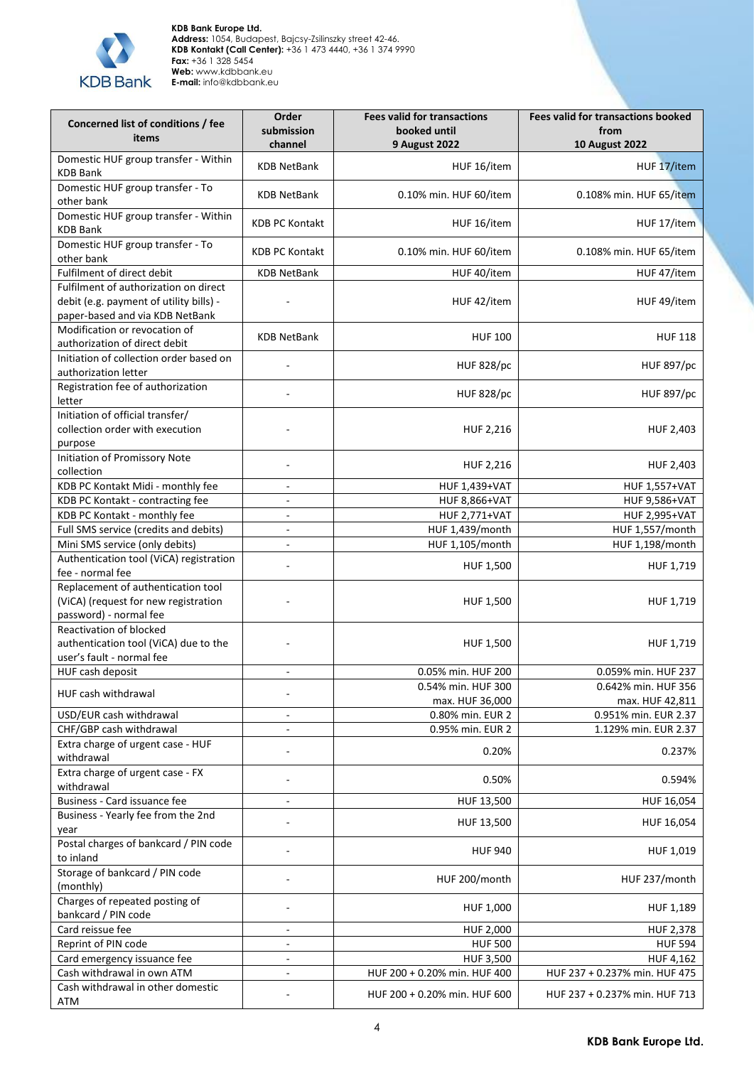

| Concerned list of conditions / fee<br>items                                                                         | Order<br>submission<br>channel | <b>Fees valid for transactions</b><br>booked until<br><b>9 August 2022</b> | <b>Fees valid for transactions booked</b><br>from<br><b>10 August 2022</b> |
|---------------------------------------------------------------------------------------------------------------------|--------------------------------|----------------------------------------------------------------------------|----------------------------------------------------------------------------|
| Domestic HUF group transfer - Within<br><b>KDB Bank</b>                                                             | <b>KDB NetBank</b>             | HUF 16/item                                                                | HUF 17/item                                                                |
| Domestic HUF group transfer - To<br>other bank                                                                      | <b>KDB NetBank</b>             | 0.10% min. HUF 60/item                                                     | 0.108% min. HUF 65/item                                                    |
| Domestic HUF group transfer - Within<br><b>KDB Bank</b>                                                             | <b>KDB PC Kontakt</b>          | HUF 16/item                                                                | HUF 17/item                                                                |
| Domestic HUF group transfer - To<br>other bank                                                                      | <b>KDB PC Kontakt</b>          | 0.10% min. HUF 60/item                                                     | 0.108% min. HUF 65/item                                                    |
| Fulfilment of direct debit                                                                                          | <b>KDB NetBank</b>             | HUF 40/item                                                                | HUF 47/item                                                                |
| Fulfilment of authorization on direct<br>debit (e.g. payment of utility bills) -<br>paper-based and via KDB NetBank |                                | HUF 42/item                                                                | HUF 49/item                                                                |
| Modification or revocation of<br>authorization of direct debit                                                      | <b>KDB NetBank</b>             | <b>HUF 100</b>                                                             | <b>HUF 118</b>                                                             |
| Initiation of collection order based on<br>authorization letter                                                     |                                | <b>HUF 828/pc</b>                                                          | <b>HUF 897/pc</b>                                                          |
| Registration fee of authorization<br>letter                                                                         |                                | <b>HUF 828/pc</b>                                                          | <b>HUF 897/pc</b>                                                          |
| Initiation of official transfer/<br>collection order with execution<br>purpose                                      |                                | HUF 2,216                                                                  | HUF 2,403                                                                  |
| <b>Initiation of Promissory Note</b><br>collection                                                                  |                                | HUF 2,216                                                                  | HUF 2,403                                                                  |
| KDB PC Kontakt Midi - monthly fee                                                                                   | $\blacksquare$                 | <b>HUF 1,439+VAT</b>                                                       | <b>HUF 1,557+VAT</b>                                                       |
| KDB PC Kontakt - contracting fee                                                                                    | $\blacksquare$                 | <b>HUF 8,866+VAT</b>                                                       | <b>HUF 9,586+VAT</b>                                                       |
| KDB PC Kontakt - monthly fee                                                                                        | $\overline{\phantom{a}}$       | <b>HUF 2,771+VAT</b>                                                       | <b>HUF 2,995+VAT</b>                                                       |
| Full SMS service (credits and debits)                                                                               | $\overline{\phantom{a}}$       | HUF 1,439/month                                                            | HUF 1,557/month                                                            |
| Mini SMS service (only debits)                                                                                      | L.                             | HUF 1,105/month                                                            | HUF 1,198/month                                                            |
| Authentication tool (ViCA) registration<br>fee - normal fee                                                         | ä,                             | HUF 1,500                                                                  | HUF 1,719                                                                  |
| Replacement of authentication tool<br>(ViCA) (request for new registration<br>password) - normal fee                |                                | HUF 1,500                                                                  | HUF 1,719                                                                  |
| Reactivation of blocked<br>authentication tool (ViCA) due to the<br>user's fault - normal fee                       |                                | <b>HUF 1,500</b>                                                           | HUF 1,719                                                                  |
| HUF cash deposit                                                                                                    | $\sim$                         | 0.05% min. HUF 200                                                         | 0.059% min. HUF 237                                                        |
| HUF cash withdrawal                                                                                                 |                                | 0.54% min. HUF 300                                                         | 0.642% min. HUF 356                                                        |
|                                                                                                                     |                                | max. HUF 36,000                                                            | max. HUF 42,811                                                            |
| USD/EUR cash withdrawal                                                                                             | $\frac{1}{2}$                  | 0.80% min. EUR 2                                                           | 0.951% min. EUR 2.37                                                       |
| CHF/GBP cash withdrawal                                                                                             |                                | 0.95% min. EUR 2                                                           | 1.129% min. EUR 2.37                                                       |
| Extra charge of urgent case - HUF<br>withdrawal                                                                     | $\overline{a}$                 | 0.20%                                                                      | 0.237%                                                                     |
| Extra charge of urgent case - FX<br>withdrawal                                                                      | ÷,                             | 0.50%                                                                      | 0.594%                                                                     |
| Business - Card issuance fee                                                                                        | ÷,                             | HUF 13,500                                                                 | HUF 16,054                                                                 |
| Business - Yearly fee from the 2nd<br>year                                                                          |                                | HUF 13,500                                                                 | HUF 16,054                                                                 |
| Postal charges of bankcard / PIN code<br>to inland                                                                  |                                | <b>HUF 940</b>                                                             | HUF 1,019                                                                  |
| Storage of bankcard / PIN code<br>(monthly)                                                                         |                                | HUF 200/month                                                              | HUF 237/month                                                              |
| Charges of repeated posting of<br>bankcard / PIN code                                                               | ä,                             | HUF 1,000                                                                  | HUF 1,189                                                                  |
| Card reissue fee                                                                                                    | $\sim$                         | HUF 2,000                                                                  | <b>HUF 2,378</b>                                                           |
| Reprint of PIN code                                                                                                 | ÷,                             | <b>HUF 500</b>                                                             | <b>HUF 594</b>                                                             |
| Card emergency issuance fee                                                                                         | $\overline{\phantom{a}}$       | <b>HUF 3,500</b>                                                           | HUF 4,162                                                                  |
| Cash withdrawal in own ATM                                                                                          | $\Box$                         | HUF 200 + 0.20% min. HUF 400                                               | HUF 237 + 0.237% min. HUF 475                                              |
| Cash withdrawal in other domestic<br>ATM                                                                            |                                | HUF 200 + 0.20% min. HUF 600                                               | HUF 237 + 0.237% min. HUF 713                                              |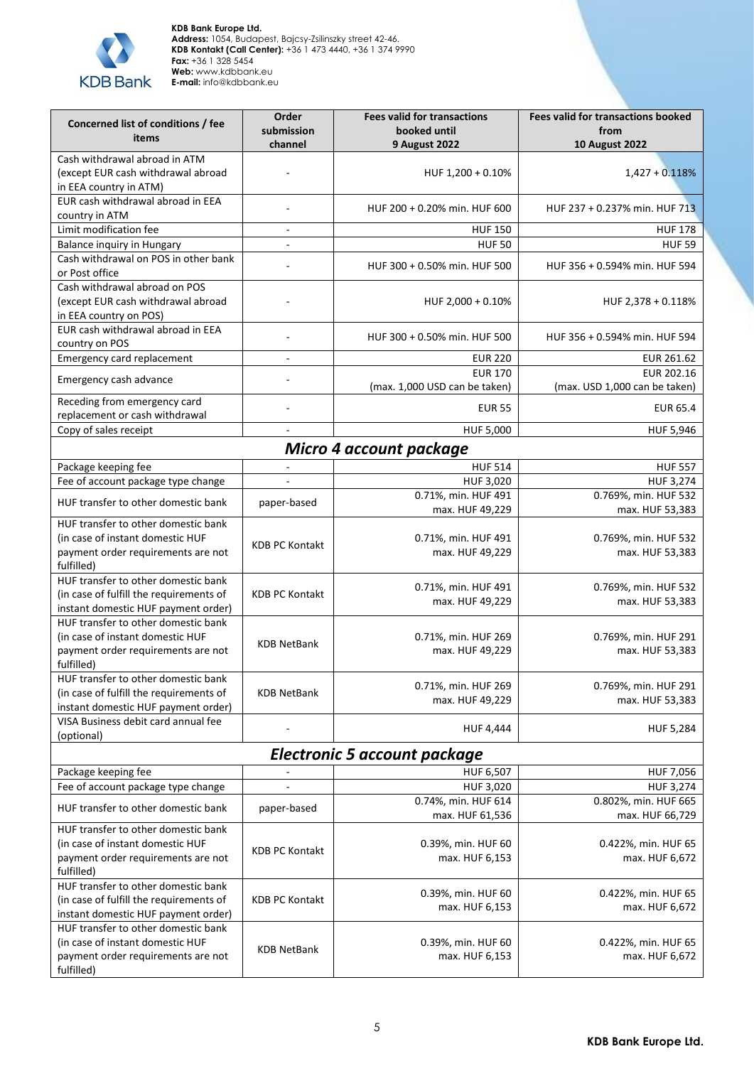

| Concerned list of conditions / fee<br>items                                                   | Order<br>submission<br>channel | <b>Fees valid for transactions</b><br>booked until<br><b>9 August 2022</b> | <b>Fees valid for transactions booked</b><br>from<br><b>10 August 2022</b> |
|-----------------------------------------------------------------------------------------------|--------------------------------|----------------------------------------------------------------------------|----------------------------------------------------------------------------|
| Cash withdrawal abroad in ATM                                                                 |                                |                                                                            |                                                                            |
| (except EUR cash withdrawal abroad                                                            |                                | HUF 1,200 + 0.10%                                                          | $1,427 + 0.118%$                                                           |
| in EEA country in ATM)                                                                        |                                |                                                                            |                                                                            |
| EUR cash withdrawal abroad in EEA<br>country in ATM                                           |                                | HUF 200 + 0.20% min. HUF 600                                               | HUF 237 + 0.237% min. HUF 713                                              |
| Limit modification fee                                                                        | $\sim$                         | <b>HUF 150</b>                                                             | <b>HUF 178</b>                                                             |
| Balance inquiry in Hungary                                                                    | $\overline{a}$                 | <b>HUF 50</b>                                                              | <b>HUF 59</b>                                                              |
| Cash withdrawal on POS in other bank<br>or Post office                                        |                                | HUF 300 + 0.50% min. HUF 500                                               | HUF 356 + 0.594% min. HUF 594                                              |
| Cash withdrawal abroad on POS<br>(except EUR cash withdrawal abroad<br>in EEA country on POS) |                                | HUF 2,000 + 0.10%                                                          | HUF $2,378 + 0.118%$                                                       |
| EUR cash withdrawal abroad in EEA<br>country on POS                                           |                                | HUF 300 + 0.50% min. HUF 500                                               | HUF 356 + 0.594% min. HUF 594                                              |
| Emergency card replacement                                                                    | $\overline{a}$                 | <b>EUR 220</b>                                                             | EUR 261.62                                                                 |
| Emergency cash advance                                                                        |                                | <b>EUR 170</b><br>(max. 1,000 USD can be taken)                            | EUR 202.16<br>(max. USD 1,000 can be taken)                                |
| Receding from emergency card                                                                  |                                |                                                                            | <b>EUR 65.4</b>                                                            |
| replacement or cash withdrawal<br>Copy of sales receipt                                       | $\sim$                         | <b>EUR 55</b><br>HUF 5,000                                                 | HUF 5,946                                                                  |
|                                                                                               |                                |                                                                            |                                                                            |
|                                                                                               |                                | Micro 4 account package                                                    |                                                                            |
| Package keeping fee                                                                           |                                | <b>HUF 514</b>                                                             | <b>HUF 557</b>                                                             |
| Fee of account package type change                                                            | $\overline{\phantom{a}}$       | HUF 3,020<br>0.71%, min. HUF 491                                           | HUF 3,274                                                                  |
| HUF transfer to other domestic bank                                                           | paper-based                    | max. HUF 49,229                                                            | 0.769%, min. HUF 532<br>max. HUF 53,383                                    |
| HUF transfer to other domestic bank                                                           |                                |                                                                            |                                                                            |
| (in case of instant domestic HUF                                                              | <b>KDB PC Kontakt</b>          | 0.71%, min. HUF 491                                                        | 0.769%, min. HUF 532                                                       |
| payment order requirements are not<br>fulfilled)                                              |                                | max. HUF 49,229                                                            | max. HUF 53,383                                                            |
| HUF transfer to other domestic bank                                                           |                                | 0.71%, min. HUF 491                                                        | 0.769%, min. HUF 532                                                       |
| (in case of fulfill the requirements of                                                       | <b>KDB PC Kontakt</b>          | max. HUF 49,229                                                            | max. HUF 53,383                                                            |
| instant domestic HUF payment order)                                                           |                                |                                                                            |                                                                            |
| HUF transfer to other domestic bank                                                           |                                |                                                                            |                                                                            |
| (in case of instant domestic HUF<br>payment order requirements are not<br>fulfilled)          | <b>KDB NetBank</b>             | 0.71%, min. HUF 269<br>max. HUF 49,229                                     | 0.769%, min. HUF 291<br>max. HUF 53,383                                    |
| HUF transfer to other domestic bank                                                           |                                | 0.71%, min. HUF 269                                                        | 0.769%, min. HUF 291                                                       |
| (in case of fulfill the requirements of<br>instant domestic HUF payment order)                | <b>KDB NetBank</b>             | max. HUF 49,229                                                            | max. HUF 53,383                                                            |
| VISA Business debit card annual fee                                                           |                                | <b>HUF 4,444</b>                                                           | <b>HUF 5,284</b>                                                           |
| (optional)                                                                                    |                                | <b>Electronic 5 account package</b>                                        |                                                                            |
| Package keeping fee                                                                           |                                | HUF 6,507                                                                  | HUF 7,056                                                                  |
| Fee of account package type change                                                            | $\overline{a}$                 | HUF 3,020                                                                  | <b>HUF 3,274</b>                                                           |
| HUF transfer to other domestic bank                                                           | paper-based                    | 0.74%, min. HUF 614<br>max. HUF 61,536                                     | 0.802%, min. HUF 665<br>max. HUF 66,729                                    |
| HUF transfer to other domestic bank                                                           |                                |                                                                            |                                                                            |
| (in case of instant domestic HUF                                                              |                                | 0.39%, min. HUF 60                                                         | 0.422%, min. HUF 65                                                        |
| payment order requirements are not<br>fulfilled)                                              | <b>KDB PC Kontakt</b>          | max. HUF 6,153                                                             | max. HUF 6,672                                                             |
| HUF transfer to other domestic bank                                                           |                                | 0.39%, min. HUF 60                                                         | 0.422%, min. HUF 65                                                        |
| (in case of fulfill the requirements of                                                       | <b>KDB PC Kontakt</b>          | max. HUF 6,153                                                             | max. HUF 6,672                                                             |
| instant domestic HUF payment order)<br>HUF transfer to other domestic bank                    |                                |                                                                            |                                                                            |
| (in case of instant domestic HUF                                                              |                                | 0.39%, min. HUF 60                                                         | 0.422%, min. HUF 65                                                        |
| payment order requirements are not                                                            | KDB NetBank                    | max. HUF 6,153                                                             | max. HUF 6,672                                                             |
| fulfilled)                                                                                    |                                |                                                                            |                                                                            |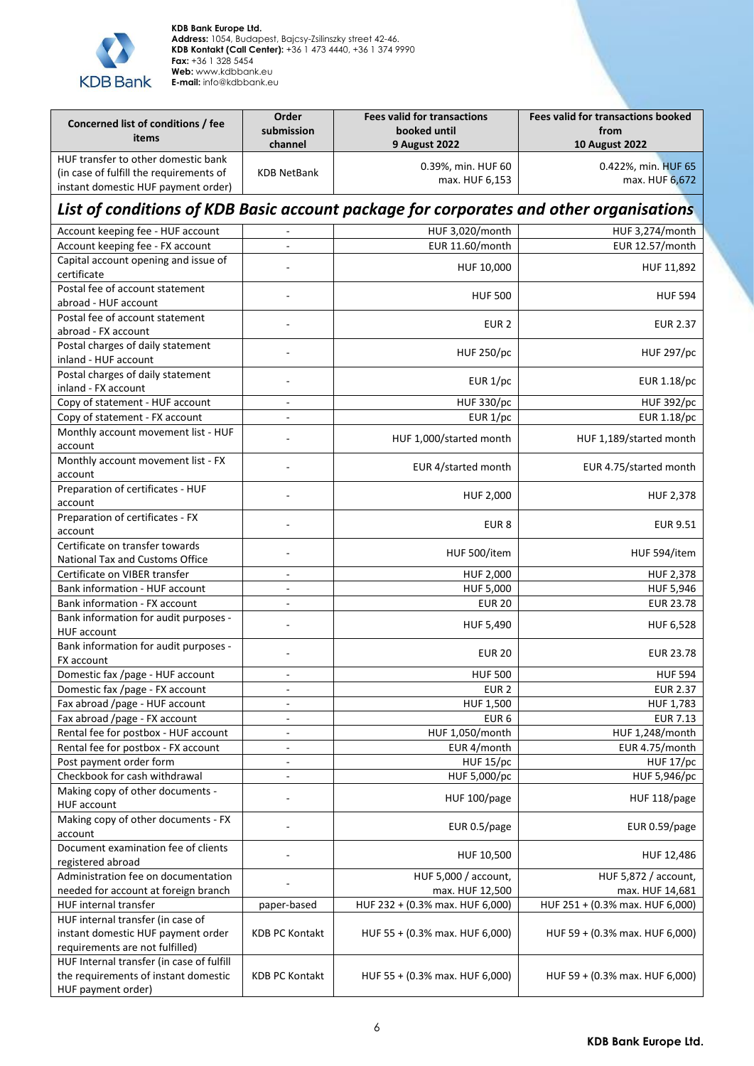

**KDB Bank Europe Ltd. Address:** 1054, Budapest, Bajcsy-Zsilinszky street 42-46. **KDB Kontakt (Call Center):** +36 1 473 4440, +36 1 374 9990 **Fax:** +36 1 328 5454 **Web:** www.kdbbank.eu **E-mail:** info@kdbbank.eu

| Concerned list of conditions / fee<br>items                                                                           | Order<br>submission<br>channel | <b>Fees valid for transactions</b><br>booked until<br><b>9 August 2022</b> | <b>Fees valid for transactions booked</b><br>from<br><b>10 August 2022</b> |
|-----------------------------------------------------------------------------------------------------------------------|--------------------------------|----------------------------------------------------------------------------|----------------------------------------------------------------------------|
| HUF transfer to other domestic bank<br>(in case of fulfill the requirements of<br>instant domestic HUF payment order) | <b>KDB NetBank</b>             | 0.39%, min. HUF 60<br>max. HUF 6,153                                       | 0.422%, min. HUF 65<br>max. HUF 6,672                                      |
| List of conditions of KDB Basic account package for corporates and other organisations                                |                                |                                                                            |                                                                            |
| Account keeping fee - HUF account                                                                                     | $\blacksquare$                 | HUF 3,020/month                                                            | HUF 3,274/month                                                            |
| Account keeping fee - FX account                                                                                      |                                | EUR 11.60/month                                                            | EUR 12.57/month                                                            |
| Capital account opening and issue of<br>certificate                                                                   |                                | HUF 10,000                                                                 | HUF 11,892                                                                 |
| Postal fee of account statement<br>abroad - HUF account                                                               |                                | <b>HUF 500</b>                                                             | <b>HUF 594</b>                                                             |
| Postal fee of account statement<br>abroad - FX account                                                                |                                | EUR <sub>2</sub>                                                           | <b>EUR 2.37</b>                                                            |
| Postal charges of daily statement<br>inland - HUF account                                                             |                                | <b>HUF 250/pc</b>                                                          | <b>HUF 297/pc</b>                                                          |
| Postal charges of daily statement<br>inland - FX account                                                              |                                | EUR 1/pc                                                                   | EUR 1.18/pc                                                                |
| Copy of statement - HUF account                                                                                       | $\blacksquare$                 | <b>HUF 330/pc</b>                                                          | <b>HUF 392/pc</b>                                                          |
| Copy of statement - FX account                                                                                        | $\blacksquare$                 | EUR 1/pc                                                                   | EUR 1.18/pc                                                                |
| Monthly account movement list - HUF<br>account                                                                        |                                | HUF 1,000/started month                                                    | HUF 1,189/started month                                                    |
| Monthly account movement list - FX<br>account                                                                         |                                | EUR 4/started month                                                        | EUR 4.75/started month                                                     |
| Preparation of certificates - HUF<br>account                                                                          |                                | HUF 2,000                                                                  | HUF 2,378                                                                  |
| Preparation of certificates - FX<br>account                                                                           |                                | EUR <sub>8</sub>                                                           | <b>EUR 9.51</b>                                                            |
| Certificate on transfer towards<br>National Tax and Customs Office                                                    |                                | HUF 500/item                                                               | HUF 594/item                                                               |
| Certificate on VIBER transfer                                                                                         | $\blacksquare$                 | HUF 2,000                                                                  | HUF 2,378                                                                  |
| Bank information - HUF account                                                                                        | $\overline{\phantom{a}}$       | HUF 5,000                                                                  | <b>HUF 5,946</b>                                                           |
| Bank information - FX account                                                                                         | $\overline{\phantom{a}}$       | <b>EUR 20</b>                                                              | <b>EUR 23.78</b>                                                           |
| Bank information for audit purposes -<br><b>HUF account</b>                                                           |                                | HUF 5,490                                                                  | HUF 6,528                                                                  |
| Bank information for audit purposes -<br>FX account                                                                   |                                | <b>EUR 20</b>                                                              | <b>EUR 23.78</b>                                                           |
| Domestic fax /page - HUF account                                                                                      |                                | <b>HUF 500</b>                                                             | <b>HUF 594</b>                                                             |
| Domestic fax /page - FX account                                                                                       | $\overline{\phantom{a}}$       | EUR <sub>2</sub>                                                           | <b>EUR 2.37</b>                                                            |
| Fax abroad /page - HUF account                                                                                        | $\blacksquare$                 | HUF 1,500                                                                  | HUF 1,783                                                                  |
| Fax abroad /page - FX account                                                                                         | $\overline{\phantom{a}}$       | EUR <sub>6</sub>                                                           | <b>EUR 7.13</b>                                                            |
| Rental fee for postbox - HUF account                                                                                  | $\overline{\phantom{a}}$       | HUF 1,050/month                                                            | HUF 1,248/month                                                            |
| Rental fee for postbox - FX account                                                                                   | $\blacksquare$                 | EUR 4/month                                                                | EUR 4.75/month                                                             |
| Post payment order form                                                                                               | $\overline{\phantom{a}}$       | <b>HUF 15/pc</b>                                                           | HUF 17/pc                                                                  |
| Checkbook for cash withdrawal                                                                                         | $\blacksquare$                 | HUF 5,000/pc                                                               | HUF 5,946/pc                                                               |
| Making copy of other documents -<br><b>HUF account</b>                                                                |                                | HUF 100/page                                                               | HUF 118/page                                                               |
| Making copy of other documents - FX<br>account                                                                        |                                | EUR 0.5/page                                                               | EUR 0.59/page                                                              |
| Document examination fee of clients<br>registered abroad                                                              |                                | HUF 10,500                                                                 | HUF 12,486                                                                 |
| Administration fee on documentation                                                                                   |                                | HUF 5,000 / account,                                                       | HUF 5,872 / account,                                                       |
| needed for account at foreign branch                                                                                  |                                | max. HUF 12,500                                                            | max. HUF 14,681                                                            |
| HUF internal transfer                                                                                                 | paper-based                    | HUF 232 + (0.3% max. HUF 6,000)                                            | HUF 251 + (0.3% max. HUF 6,000)                                            |
| HUF internal transfer (in case of                                                                                     |                                |                                                                            |                                                                            |
| instant domestic HUF payment order<br>requirements are not fulfilled)                                                 | KDB PC Kontakt                 | HUF 55 + (0.3% max. HUF 6,000)                                             | HUF 59 + (0.3% max. HUF 6,000)                                             |
| HUF Internal transfer (in case of fulfill<br>the requirements of instant domestic<br>HUF payment order)               | <b>KDB PC Kontakt</b>          | HUF 55 + (0.3% max. HUF 6,000)                                             | HUF 59 + (0.3% max. HUF 6,000)                                             |

6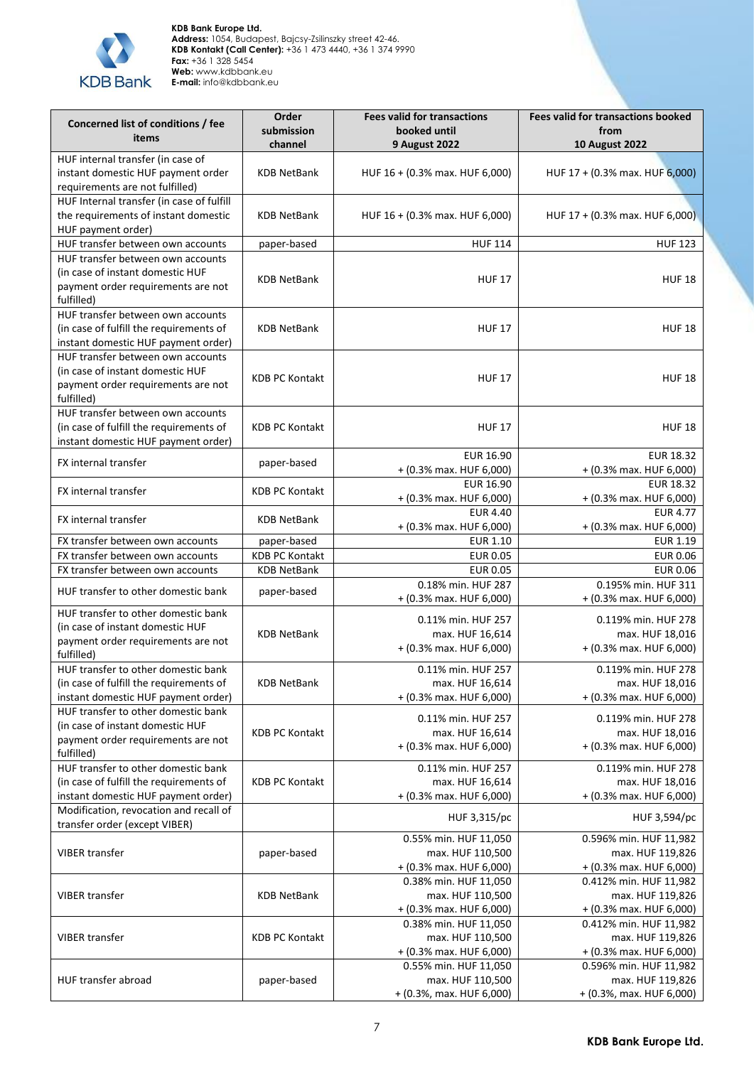

| Concerned list of conditions / fee                                      | Order<br>submission   | <b>Fees valid for transactions</b><br>booked until | <b>Fees valid for transactions booked</b><br>from |
|-------------------------------------------------------------------------|-----------------------|----------------------------------------------------|---------------------------------------------------|
| items                                                                   | channel               | 9 August 2022                                      | <b>10 August 2022</b>                             |
| HUF internal transfer (in case of                                       |                       |                                                    |                                                   |
| instant domestic HUF payment order<br>requirements are not fulfilled)   | <b>KDB NetBank</b>    | HUF 16 + (0.3% max. HUF 6,000)                     | HUF 17 + (0.3% max. HUF 6,000)                    |
| HUF Internal transfer (in case of fulfill                               |                       |                                                    |                                                   |
| the requirements of instant domestic                                    | <b>KDB NetBank</b>    | HUF 16 + (0.3% max. HUF 6,000)                     | HUF 17 + (0.3% max. HUF 6,000)                    |
| HUF payment order)<br>HUF transfer between own accounts                 |                       | <b>HUF 114</b>                                     |                                                   |
| HUF transfer between own accounts                                       | paper-based           |                                                    | <b>HUF 123</b>                                    |
| (in case of instant domestic HUF                                        |                       |                                                    |                                                   |
| payment order requirements are not<br>fulfilled)                        | <b>KDB NetBank</b>    | <b>HUF 17</b>                                      | <b>HUF 18</b>                                     |
| HUF transfer between own accounts                                       |                       |                                                    |                                                   |
| (in case of fulfill the requirements of                                 | <b>KDB NetBank</b>    | <b>HUF 17</b>                                      | <b>HUF 18</b>                                     |
| instant domestic HUF payment order)                                     |                       |                                                    |                                                   |
| HUF transfer between own accounts<br>(in case of instant domestic HUF   |                       |                                                    |                                                   |
| payment order requirements are not                                      | <b>KDB PC Kontakt</b> | <b>HUF 17</b>                                      | <b>HUF 18</b>                                     |
| fulfilled)                                                              |                       |                                                    |                                                   |
| HUF transfer between own accounts                                       |                       |                                                    |                                                   |
| (in case of fulfill the requirements of                                 | <b>KDB PC Kontakt</b> | <b>HUF 17</b>                                      | <b>HUF 18</b>                                     |
| instant domestic HUF payment order)                                     |                       |                                                    |                                                   |
| FX internal transfer                                                    | paper-based           | EUR 16.90                                          | EUR 18.32                                         |
|                                                                         |                       | + (0.3% max. HUF 6,000)<br><b>EUR 16.90</b>        | $+$ (0.3% max. HUF 6,000)<br><b>EUR 18.32</b>     |
| FX internal transfer                                                    | <b>KDB PC Kontakt</b> | + (0.3% max. HUF 6,000)                            | + (0.3% max. HUF 6,000)                           |
|                                                                         |                       | <b>EUR 4.40</b>                                    | <b>EUR 4.77</b>                                   |
| FX internal transfer                                                    | <b>KDB NetBank</b>    | + (0.3% max. HUF 6,000)                            | + (0.3% max. HUF 6,000)                           |
| FX transfer between own accounts                                        | paper-based           | <b>EUR 1.10</b>                                    | <b>EUR 1.19</b>                                   |
| FX transfer between own accounts                                        | <b>KDB PC Kontakt</b> | <b>EUR 0.05</b>                                    | <b>EUR 0.06</b>                                   |
| FX transfer between own accounts                                        | <b>KDB NetBank</b>    | <b>EUR 0.05</b>                                    | <b>EUR 0.06</b>                                   |
| HUF transfer to other domestic bank                                     | paper-based           | 0.18% min. HUF 287<br>+ (0.3% max. HUF 6,000)      | 0.195% min. HUF 311<br>+ (0.3% max. HUF 6,000)    |
| HUF transfer to other domestic bank                                     |                       | 0.11% min. HUF 257                                 | 0.119% min. HUF 278                               |
| (in case of instant domestic HUF<br>payment order requirements are not  | <b>KDB NetBank</b>    | max. HUF 16,614                                    | max. HUF 18,016                                   |
| fulfilled)                                                              |                       | + (0.3% max. HUF 6,000)                            | + (0.3% max. HUF 6,000)                           |
| HUF transfer to other domestic bank                                     |                       | 0.11% min. HUF 257                                 | 0.119% min. HUF 278                               |
| (in case of fulfill the requirements of                                 | <b>KDB NetBank</b>    | max. HUF 16,614                                    | max. HUF 18,016                                   |
| instant domestic HUF payment order)                                     |                       | + (0.3% max. HUF 6,000)                            | $+$ (0.3% max. HUF 6,000)                         |
| HUF transfer to other domestic bank<br>(in case of instant domestic HUF |                       | 0.11% min. HUF 257                                 | 0.119% min. HUF 278                               |
| payment order requirements are not                                      | <b>KDB PC Kontakt</b> | max. HUF 16,614                                    | max. HUF 18,016                                   |
| fulfilled)                                                              |                       | $+$ (0.3% max. HUF 6,000)                          | $+$ (0.3% max. HUF 6,000)                         |
| HUF transfer to other domestic bank                                     |                       | 0.11% min. HUF 257                                 | 0.119% min. HUF 278                               |
| (in case of fulfill the requirements of                                 | <b>KDB PC Kontakt</b> | max. HUF 16,614                                    | max. HUF 18,016                                   |
| instant domestic HUF payment order)                                     |                       | + (0.3% max. HUF 6,000)                            | + (0.3% max. HUF 6,000)                           |
| Modification, revocation and recall of<br>transfer order (except VIBER) |                       | HUF 3,315/pc                                       | HUF 3,594/pc                                      |
|                                                                         |                       | 0.55% min. HUF 11,050                              | 0.596% min. HUF 11,982                            |
| <b>VIBER transfer</b>                                                   | paper-based           | max. HUF 110,500                                   | max. HUF 119,826                                  |
|                                                                         |                       | + (0.3% max. HUF 6,000)<br>0.38% min. HUF 11,050   | + (0.3% max. HUF 6,000)<br>0.412% min. HUF 11,982 |
| <b>VIBER transfer</b>                                                   | <b>KDB NetBank</b>    | max. HUF 110,500                                   | max. HUF 119,826                                  |
|                                                                         |                       | $+$ (0.3% max. HUF 6,000)                          | + (0.3% max. HUF 6,000)                           |
|                                                                         |                       | 0.38% min. HUF 11,050                              | 0.412% min. HUF 11,982                            |
| <b>VIBER transfer</b>                                                   | <b>KDB PC Kontakt</b> | max. HUF 110,500                                   | max. HUF 119,826                                  |
|                                                                         |                       | $+$ (0.3% max. HUF 6,000)                          | $+$ (0.3% max. HUF 6,000)                         |
| HUF transfer abroad                                                     |                       | 0.55% min. HUF 11,050                              | 0.596% min. HUF 11,982                            |
|                                                                         | paper-based           | max. HUF 110,500<br>+ (0.3%, max. HUF 6,000)       | max. HUF 119,826<br>+ (0.3%, max. HUF 6,000)      |
|                                                                         |                       |                                                    |                                                   |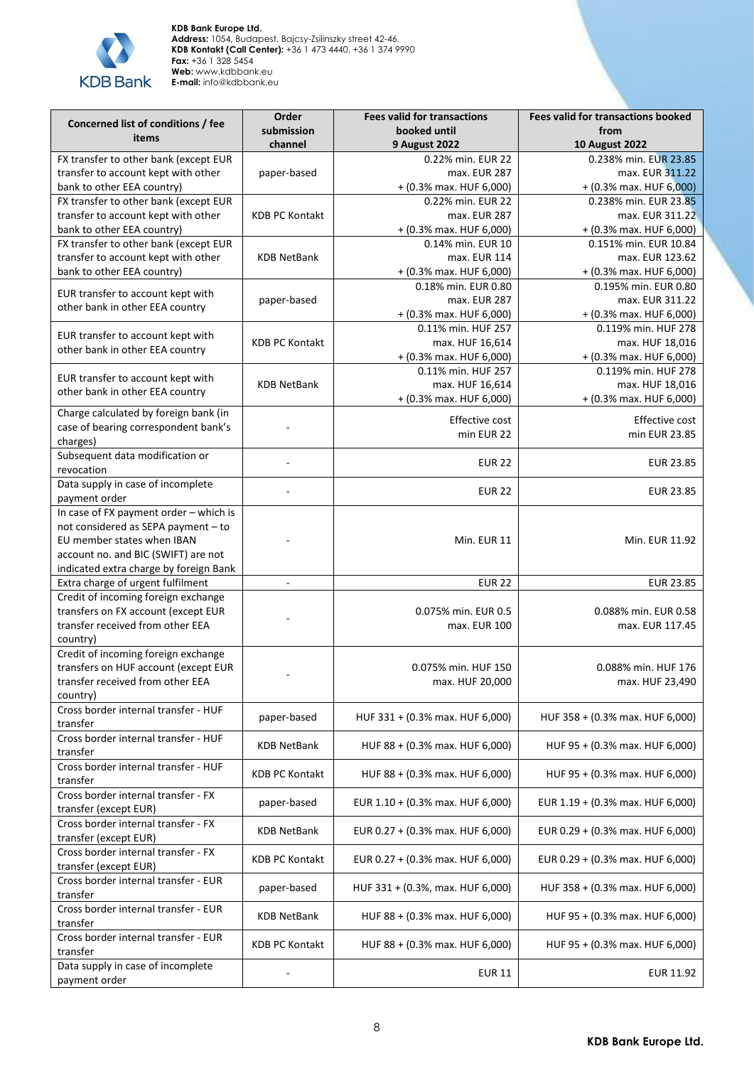

| Concerned list of conditions / fee                                          | Order                 | <b>Fees valid for transactions</b>             | <b>Fees valid for transactions booked</b>       |
|-----------------------------------------------------------------------------|-----------------------|------------------------------------------------|-------------------------------------------------|
| items                                                                       | submission            | booked until                                   | from                                            |
|                                                                             | channel               | <b>9 August 2022</b>                           | <b>10 August 2022</b>                           |
| FX transfer to other bank (except EUR                                       |                       | 0.22% min. EUR 22                              | 0.238% min. EUR 23.85                           |
| transfer to account kept with other                                         | paper-based           | max. EUR 287                                   | max. EUR 311.22                                 |
| bank to other EEA country)                                                  |                       | + (0.3% max. HUF 6,000)                        | + (0.3% max. HUF 6,000)                         |
| FX transfer to other bank (except EUR                                       |                       | 0.22% min. EUR 22                              | 0.238% min. EUR 23.85                           |
| transfer to account kept with other                                         | <b>KDB PC Kontakt</b> | max. EUR 287                                   | max. EUR 311.22                                 |
| bank to other EEA country)                                                  |                       | + (0.3% max. HUF 6,000)                        | + (0.3% max. HUF 6,000)                         |
| FX transfer to other bank (except EUR                                       |                       | 0.14% min. EUR 10<br>max. EUR 114              | 0.151% min. EUR 10.84                           |
| transfer to account kept with other<br>bank to other EEA country)           | <b>KDB NetBank</b>    |                                                | max. EUR 123.62                                 |
|                                                                             |                       | + (0.3% max. HUF 6,000)<br>0.18% min. EUR 0.80 | + (0.3% max. HUF 6,000)<br>0.195% min. EUR 0.80 |
| EUR transfer to account kept with                                           | paper-based           | max. EUR 287                                   | max. EUR 311.22                                 |
| other bank in other EEA country                                             |                       | + (0.3% max. HUF 6,000)                        | + (0.3% max. HUF 6,000)                         |
|                                                                             |                       | 0.11% min. HUF 257                             | 0.119% min. HUF 278                             |
| EUR transfer to account kept with                                           | <b>KDB PC Kontakt</b> | max. HUF 16,614                                | max. HUF 18,016                                 |
| other bank in other EEA country                                             |                       | + (0.3% max. HUF 6,000)                        | + (0.3% max. HUF 6,000)                         |
|                                                                             |                       | 0.11% min. HUF 257                             | 0.119% min. HUF 278                             |
| EUR transfer to account kept with                                           | <b>KDB NetBank</b>    | max. HUF 16,614                                | max. HUF 18,016                                 |
| other bank in other EEA country                                             |                       | + (0.3% max. HUF 6,000)                        | + (0.3% max. HUF 6,000)                         |
| Charge calculated by foreign bank (in                                       |                       |                                                |                                                 |
| case of bearing correspondent bank's                                        |                       | Effective cost                                 | Effective cost                                  |
| charges)                                                                    |                       | min EUR 22                                     | min EUR 23.85                                   |
| Subsequent data modification or                                             |                       |                                                |                                                 |
| revocation                                                                  |                       | <b>EUR 22</b>                                  | <b>EUR 23.85</b>                                |
| Data supply in case of incomplete                                           | $\sim$                | <b>EUR 22</b>                                  | <b>EUR 23.85</b>                                |
| payment order                                                               |                       |                                                |                                                 |
| In case of FX payment order - which is                                      |                       |                                                |                                                 |
| not considered as SEPA payment - to                                         |                       |                                                |                                                 |
| EU member states when IBAN                                                  |                       | Min. EUR 11                                    | Min. EUR 11.92                                  |
| account no. and BIC (SWIFT) are not                                         |                       |                                                |                                                 |
| indicated extra charge by foreign Bank                                      |                       |                                                |                                                 |
| Extra charge of urgent fulfilment                                           | $\blacksquare$        | <b>EUR 22</b>                                  | <b>EUR 23.85</b>                                |
| Credit of incoming foreign exchange                                         |                       |                                                |                                                 |
| transfers on FX account (except EUR                                         |                       | 0.075% min. EUR 0.5                            | 0.088% min. EUR 0.58                            |
| transfer received from other EEA                                            |                       | max. EUR 100                                   | max. EUR 117.45                                 |
| country)                                                                    |                       |                                                |                                                 |
| Credit of incoming foreign exchange<br>transfers on HUF account (except EUR |                       | 0.075% min. HUF 150                            |                                                 |
| transfer received from other EEA                                            |                       |                                                | 0.088% min. HUF 176                             |
| country)                                                                    |                       | max. HUF 20,000                                | max. HUF 23,490                                 |
| Cross border internal transfer - HUF                                        |                       |                                                |                                                 |
| transfer                                                                    | paper-based           | HUF 331 + (0.3% max. HUF 6,000)                | HUF 358 + (0.3% max. HUF 6,000)                 |
| Cross border internal transfer - HUF                                        |                       |                                                |                                                 |
| transfer                                                                    | KDB NetBank           | HUF 88 + (0.3% max. HUF 6,000)                 | HUF 95 + (0.3% max. HUF 6,000)                  |
| Cross border internal transfer - HUF                                        |                       |                                                |                                                 |
| transfer                                                                    | <b>KDB PC Kontakt</b> | HUF 88 + (0.3% max. HUF 6,000)                 | HUF 95 + (0.3% max. HUF 6,000)                  |
| Cross border internal transfer - FX                                         | paper-based           | EUR 1.10 + (0.3% max. HUF 6,000)               | EUR 1.19 + (0.3% max. HUF 6,000)                |
| transfer (except EUR)                                                       |                       |                                                |                                                 |
| Cross border internal transfer - FX                                         | <b>KDB NetBank</b>    | EUR 0.27 + (0.3% max. HUF 6,000)               | EUR 0.29 + (0.3% max. HUF 6,000)                |
| transfer (except EUR)                                                       |                       |                                                |                                                 |
| Cross border internal transfer - FX                                         | <b>KDB PC Kontakt</b> | EUR 0.27 + (0.3% max. HUF 6,000)               | EUR 0.29 + (0.3% max. HUF 6,000)                |
| transfer (except EUR)                                                       |                       |                                                |                                                 |
| Cross border internal transfer - EUR                                        | paper-based           | HUF 331 + (0.3%, max. HUF 6,000)               | HUF 358 + (0.3% max. HUF 6,000)                 |
| transfer                                                                    |                       |                                                |                                                 |
| Cross border internal transfer - EUR                                        | <b>KDB NetBank</b>    | HUF 88 + (0.3% max. HUF 6,000)                 | HUF 95 + (0.3% max. HUF 6,000)                  |
| transfer<br>Cross border internal transfer - EUR                            |                       |                                                |                                                 |
| transfer                                                                    | <b>KDB PC Kontakt</b> | HUF 88 + (0.3% max. HUF 6,000)                 | HUF 95 + (0.3% max. HUF 6,000)                  |
| Data supply in case of incomplete                                           |                       |                                                |                                                 |
| payment order                                                               |                       | <b>EUR 11</b>                                  | EUR 11.92                                       |
|                                                                             |                       |                                                |                                                 |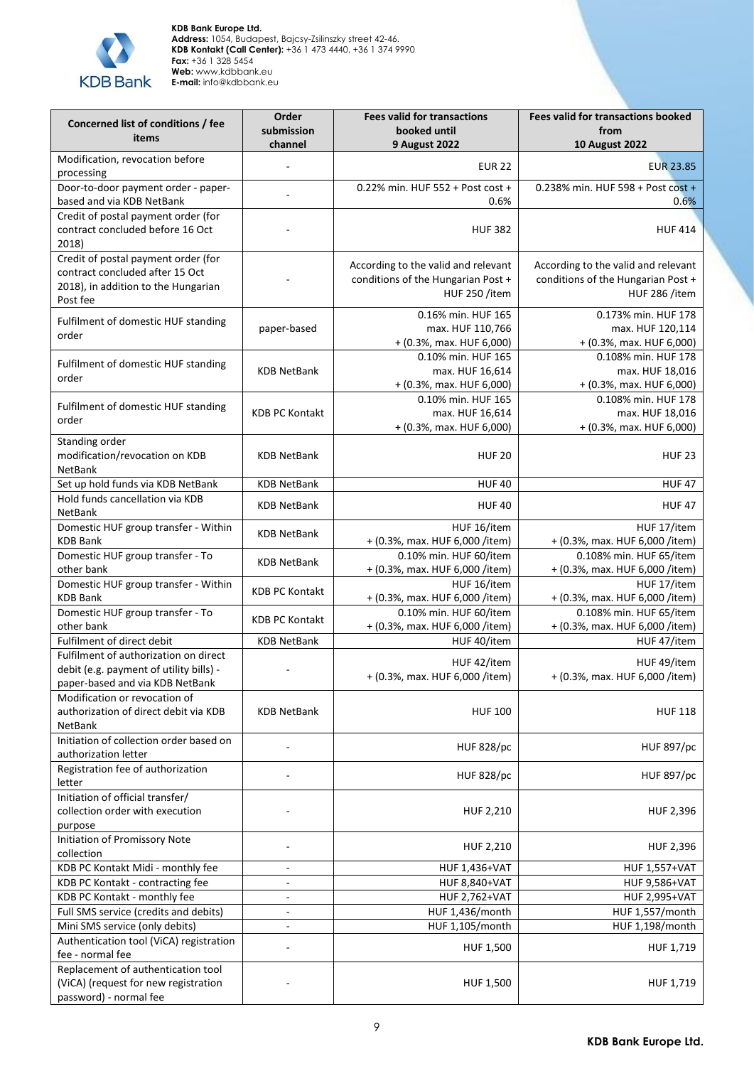

| Concerned list of conditions / fee                                                                                        | Order                    | <b>Fees valid for transactions</b>                                                         | <b>Fees valid for transactions booked</b>                                                  |
|---------------------------------------------------------------------------------------------------------------------------|--------------------------|--------------------------------------------------------------------------------------------|--------------------------------------------------------------------------------------------|
| items                                                                                                                     | submission               | booked until                                                                               | from                                                                                       |
|                                                                                                                           | channel                  | <b>9 August 2022</b>                                                                       | <b>10 August 2022</b>                                                                      |
| Modification, revocation before<br>processing                                                                             |                          | <b>EUR 22</b>                                                                              | <b>EUR 23.85</b>                                                                           |
| Door-to-door payment order - paper-<br>based and via KDB NetBank                                                          |                          | 0.22% min. HUF 552 + Post cost +<br>0.6%                                                   | 0.238% min. HUF 598 + Post cost +<br>0.6%                                                  |
| Credit of postal payment order (for<br>contract concluded before 16 Oct<br>2018)                                          |                          | <b>HUF 382</b>                                                                             | <b>HUF 414</b>                                                                             |
| Credit of postal payment order (for<br>contract concluded after 15 Oct<br>2018), in addition to the Hungarian<br>Post fee |                          | According to the valid and relevant<br>conditions of the Hungarian Post +<br>HUF 250 /item | According to the valid and relevant<br>conditions of the Hungarian Post +<br>HUF 286 /item |
| Fulfilment of domestic HUF standing<br>order                                                                              | paper-based              | 0.16% min. HUF 165<br>max. HUF 110,766<br>+ (0.3%, max. HUF 6,000)                         | 0.173% min. HUF 178<br>max. HUF 120,114<br>$+$ (0.3%, max. HUF 6,000)                      |
| Fulfilment of domestic HUF standing<br>order                                                                              | <b>KDB NetBank</b>       | 0.10% min. HUF 165<br>max. HUF 16,614<br>+ (0.3%, max. HUF 6,000)                          | 0.108% min. HUF 178<br>max. HUF 18,016<br>$+$ (0.3%, max. HUF 6,000)                       |
| Fulfilment of domestic HUF standing<br>order                                                                              | <b>KDB PC Kontakt</b>    | 0.10% min. HUF 165<br>max. HUF 16,614<br>+ (0.3%, max. HUF 6,000)                          | 0.108% min. HUF 178<br>max. HUF 18,016<br>+ (0.3%, max. HUF 6,000)                         |
| Standing order<br>modification/revocation on KDB<br>NetBank                                                               | <b>KDB NetBank</b>       | <b>HUF 20</b>                                                                              | <b>HUF 23</b>                                                                              |
| Set up hold funds via KDB NetBank                                                                                         | <b>KDB NetBank</b>       | <b>HUF40</b>                                                                               | <b>HUF47</b>                                                                               |
| Hold funds cancellation via KDB<br>NetBank                                                                                | <b>KDB NetBank</b>       | <b>HUF40</b>                                                                               | <b>HUF47</b>                                                                               |
| Domestic HUF group transfer - Within<br><b>KDB Bank</b>                                                                   | <b>KDB NetBank</b>       | HUF 16/item<br>+ (0.3%, max. HUF 6,000 /item)                                              | HUF 17/item<br>+ (0.3%, max. HUF 6,000 /item)                                              |
| Domestic HUF group transfer - To<br>other bank                                                                            | <b>KDB NetBank</b>       | 0.10% min. HUF 60/item<br>+ (0.3%, max. HUF 6,000 /item)                                   | 0.108% min. HUF 65/item<br>+ (0.3%, max. HUF 6,000 /item)                                  |
| Domestic HUF group transfer - Within<br><b>KDB Bank</b>                                                                   | <b>KDB PC Kontakt</b>    | HUF 16/item<br>+ (0.3%, max. HUF 6,000 /item)                                              | HUF 17/item<br>+ (0.3%, max. HUF 6,000 /item)                                              |
| Domestic HUF group transfer - To<br>other bank                                                                            | <b>KDB PC Kontakt</b>    | 0.10% min. HUF 60/item<br>+ (0.3%, max. HUF 6,000 /item)                                   | 0.108% min. HUF 65/item<br>+ (0.3%, max. HUF 6,000 /item)                                  |
| Fulfilment of direct debit                                                                                                | <b>KDB NetBank</b>       | HUF 40/item                                                                                | HUF 47/item                                                                                |
| Fulfilment of authorization on direct<br>debit (e.g. payment of utility bills) -<br>paper-based and via KDB NetBank       |                          | HUF 42/item<br>+ (0.3%, max. HUF 6,000 /item)                                              | HUF 49/item<br>+ (0.3%, max. HUF 6,000 /item)                                              |
| Modification or revocation of<br>authorization of direct debit via KDB<br>NetBank                                         | <b>KDB NetBank</b>       | <b>HUF 100</b>                                                                             | <b>HUF 118</b>                                                                             |
| Initiation of collection order based on<br>authorization letter                                                           |                          | <b>HUF 828/pc</b>                                                                          | <b>HUF 897/pc</b>                                                                          |
| Registration fee of authorization<br>letter                                                                               |                          | <b>HUF 828/pc</b>                                                                          | <b>HUF 897/pc</b>                                                                          |
| Initiation of official transfer/<br>collection order with execution<br>purpose                                            |                          | HUF 2,210                                                                                  | HUF 2,396                                                                                  |
| Initiation of Promissory Note<br>collection                                                                               |                          | HUF 2,210                                                                                  | HUF 2,396                                                                                  |
| KDB PC Kontakt Midi - monthly fee                                                                                         | ÷,                       | <b>HUF 1,436+VAT</b>                                                                       | <b>HUF 1,557+VAT</b>                                                                       |
| KDB PC Kontakt - contracting fee                                                                                          | $\bar{a}$                | <b>HUF 8,840+VAT</b>                                                                       | <b>HUF 9,586+VAT</b>                                                                       |
| KDB PC Kontakt - monthly fee                                                                                              | $\blacksquare$           | <b>HUF 2,762+VAT</b>                                                                       | <b>HUF 2,995+VAT</b>                                                                       |
| Full SMS service (credits and debits)                                                                                     | $\overline{\phantom{a}}$ | HUF 1,436/month                                                                            | HUF 1,557/month                                                                            |
| Mini SMS service (only debits)                                                                                            | $\blacksquare$           | HUF 1,105/month                                                                            | HUF 1,198/month                                                                            |
| Authentication tool (ViCA) registration<br>fee - normal fee                                                               |                          | HUF 1,500                                                                                  | HUF 1,719                                                                                  |
| Replacement of authentication tool<br>(ViCA) (request for new registration<br>password) - normal fee                      |                          | HUF 1,500                                                                                  | HUF 1,719                                                                                  |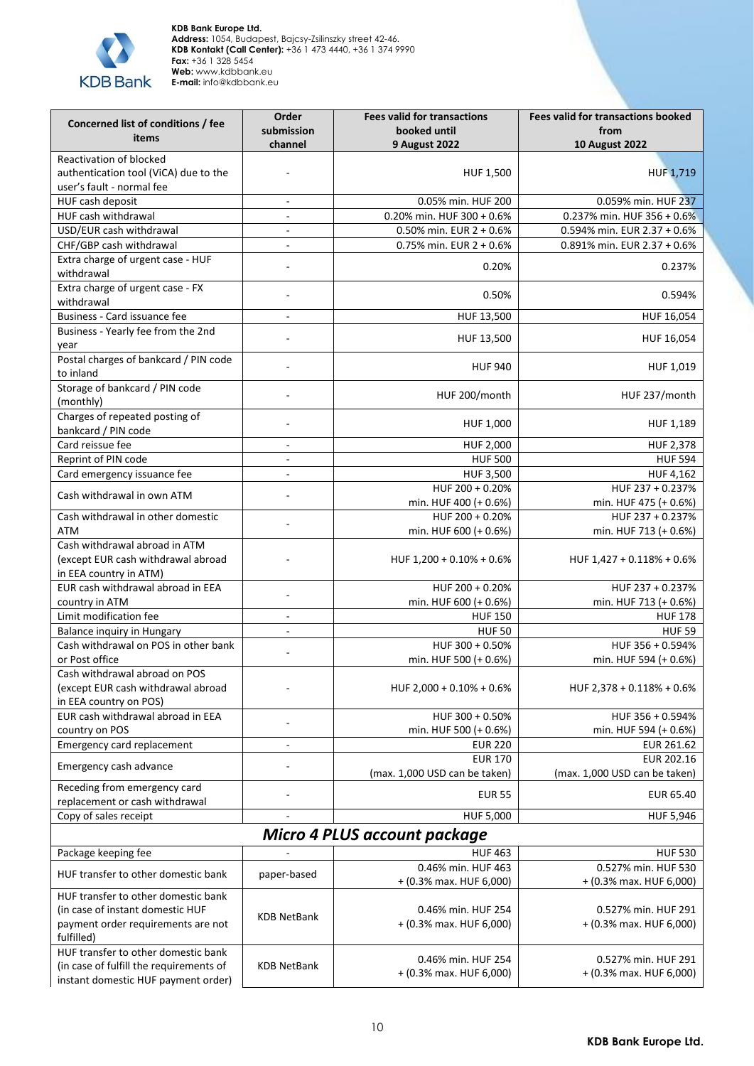

| Concerned list of conditions / fee<br>items                                                                                 | Order<br>submission<br>channel | <b>Fees valid for transactions</b><br>booked until<br><b>9 August 2022</b> | <b>Fees valid for transactions booked</b><br>from<br><b>10 August 2022</b> |
|-----------------------------------------------------------------------------------------------------------------------------|--------------------------------|----------------------------------------------------------------------------|----------------------------------------------------------------------------|
| Reactivation of blocked                                                                                                     |                                |                                                                            |                                                                            |
| authentication tool (ViCA) due to the<br>user's fault - normal fee                                                          |                                | HUF 1,500                                                                  | <b>HUF 1,719</b>                                                           |
| HUF cash deposit                                                                                                            | $\frac{1}{2}$                  | 0.05% min. HUF 200                                                         | 0.059% min. HUF 237                                                        |
| HUF cash withdrawal                                                                                                         | $\frac{1}{2}$                  | 0.20% min. HUF $300 + 0.6%$                                                | 0.237% min. HUF 356 + 0.6%                                                 |
| USD/EUR cash withdrawal                                                                                                     | $\frac{1}{2}$                  | 0.50% min. EUR $2 + 0.6%$                                                  | 0.594% min. EUR 2.37 + 0.6%                                                |
| CHF/GBP cash withdrawal                                                                                                     | ÷,                             | 0.75% min. EUR $2 + 0.6%$                                                  | 0.891% min. EUR 2.37 + 0.6%                                                |
| Extra charge of urgent case - HUF<br>withdrawal                                                                             |                                | 0.20%                                                                      | 0.237%                                                                     |
| Extra charge of urgent case - FX<br>withdrawal                                                                              |                                | 0.50%                                                                      | 0.594%                                                                     |
| Business - Card issuance fee                                                                                                | $\blacksquare$                 | HUF 13,500                                                                 | HUF 16,054                                                                 |
| Business - Yearly fee from the 2nd<br>year                                                                                  |                                | HUF 13,500                                                                 | HUF 16,054                                                                 |
| Postal charges of bankcard / PIN code<br>to inland                                                                          |                                | <b>HUF 940</b>                                                             | HUF 1,019                                                                  |
| Storage of bankcard / PIN code<br>(monthly)                                                                                 |                                | HUF 200/month                                                              | HUF 237/month                                                              |
| Charges of repeated posting of<br>bankcard / PIN code                                                                       |                                | HUF 1,000                                                                  | HUF 1,189                                                                  |
| Card reissue fee                                                                                                            | $\blacksquare$                 | HUF 2,000                                                                  | HUF 2,378                                                                  |
| Reprint of PIN code                                                                                                         | $\overline{\phantom{0}}$       | <b>HUF 500</b>                                                             | <b>HUF 594</b>                                                             |
| Card emergency issuance fee                                                                                                 | $\overline{\phantom{0}}$       | <b>HUF 3,500</b>                                                           | HUF 4,162                                                                  |
| Cash withdrawal in own ATM                                                                                                  |                                | HUF 200 + 0.20%<br>min. HUF 400 (+ 0.6%)                                   | HUF 237 + 0.237%<br>min. HUF 475 (+ 0.6%)                                  |
| Cash withdrawal in other domestic<br>ATM                                                                                    |                                | HUF 200 + 0.20%<br>min. HUF 600 (+ 0.6%)                                   | HUF 237 + 0.237%<br>min. HUF 713 (+ 0.6%)                                  |
| Cash withdrawal abroad in ATM<br>(except EUR cash withdrawal abroad<br>in EEA country in ATM)                               |                                | HUF $1,200 + 0.10\% + 0.6\%$                                               | HUF 1,427 + 0.118% + 0.6%                                                  |
| EUR cash withdrawal abroad in EEA<br>country in ATM                                                                         |                                | HUF 200 + 0.20%<br>min. HUF 600 (+ 0.6%)                                   | HUF 237 + 0.237%<br>min. HUF 713 (+ 0.6%)                                  |
| Limit modification fee                                                                                                      | ÷,                             | <b>HUF 150</b>                                                             | <b>HUF 178</b>                                                             |
| <b>Balance inquiry in Hungary</b>                                                                                           |                                | <b>HUF50</b>                                                               | <b>HUF 59</b>                                                              |
| Cash withdrawal on POS in other bank                                                                                        |                                | HUF 300 + 0.50%                                                            | HUF 356 + 0.594%                                                           |
| or Post office                                                                                                              |                                | min. HUF 500 (+ 0.6%)                                                      | min. HUF 594 (+ 0.6%)                                                      |
| Cash withdrawal abroad on POS<br>(except EUR cash withdrawal abroad<br>in EEA country on POS)                               |                                | HUF 2,000 + 0.10% + 0.6%                                                   | HUF $2,378 + 0.118\% + 0.6\%$                                              |
| EUR cash withdrawal abroad in EEA                                                                                           |                                | HUF 300 + 0.50%                                                            | HUF 356 + 0.594%                                                           |
| country on POS                                                                                                              |                                | min. HUF 500 (+ 0.6%)                                                      | min. HUF 594 (+ 0.6%)                                                      |
| Emergency card replacement                                                                                                  |                                | <b>EUR 220</b>                                                             | EUR 261.62                                                                 |
| Emergency cash advance                                                                                                      |                                | <b>EUR 170</b><br>(max. 1,000 USD can be taken)                            | EUR 202.16<br>(max. 1,000 USD can be taken)                                |
| Receding from emergency card<br>replacement or cash withdrawal                                                              |                                | <b>EUR 55</b>                                                              | EUR 65.40                                                                  |
| Copy of sales receipt                                                                                                       |                                | HUF 5,000                                                                  | HUF 5,946                                                                  |
|                                                                                                                             |                                | <b>Micro 4 PLUS account package</b>                                        |                                                                            |
| Package keeping fee                                                                                                         |                                | <b>HUF 463</b>                                                             | <b>HUF 530</b>                                                             |
| HUF transfer to other domestic bank                                                                                         | paper-based                    | 0.46% min. HUF 463<br>+ (0.3% max. HUF 6,000)                              | 0.527% min. HUF 530<br>+ (0.3% max. HUF 6,000)                             |
| HUF transfer to other domestic bank<br>(in case of instant domestic HUF<br>payment order requirements are not<br>fulfilled) | <b>KDB NetBank</b>             | 0.46% min. HUF 254<br>+ (0.3% max. HUF 6,000)                              | 0.527% min. HUF 291<br>$+$ (0.3% max. HUF 6,000)                           |
| HUF transfer to other domestic bank<br>(in case of fulfill the requirements of<br>instant domestic HUF payment order)       | <b>KDB NetBank</b>             | 0.46% min. HUF 254<br>+ (0.3% max. HUF 6,000)                              | 0.527% min. HUF 291<br>+ (0.3% max. HUF 6,000)                             |